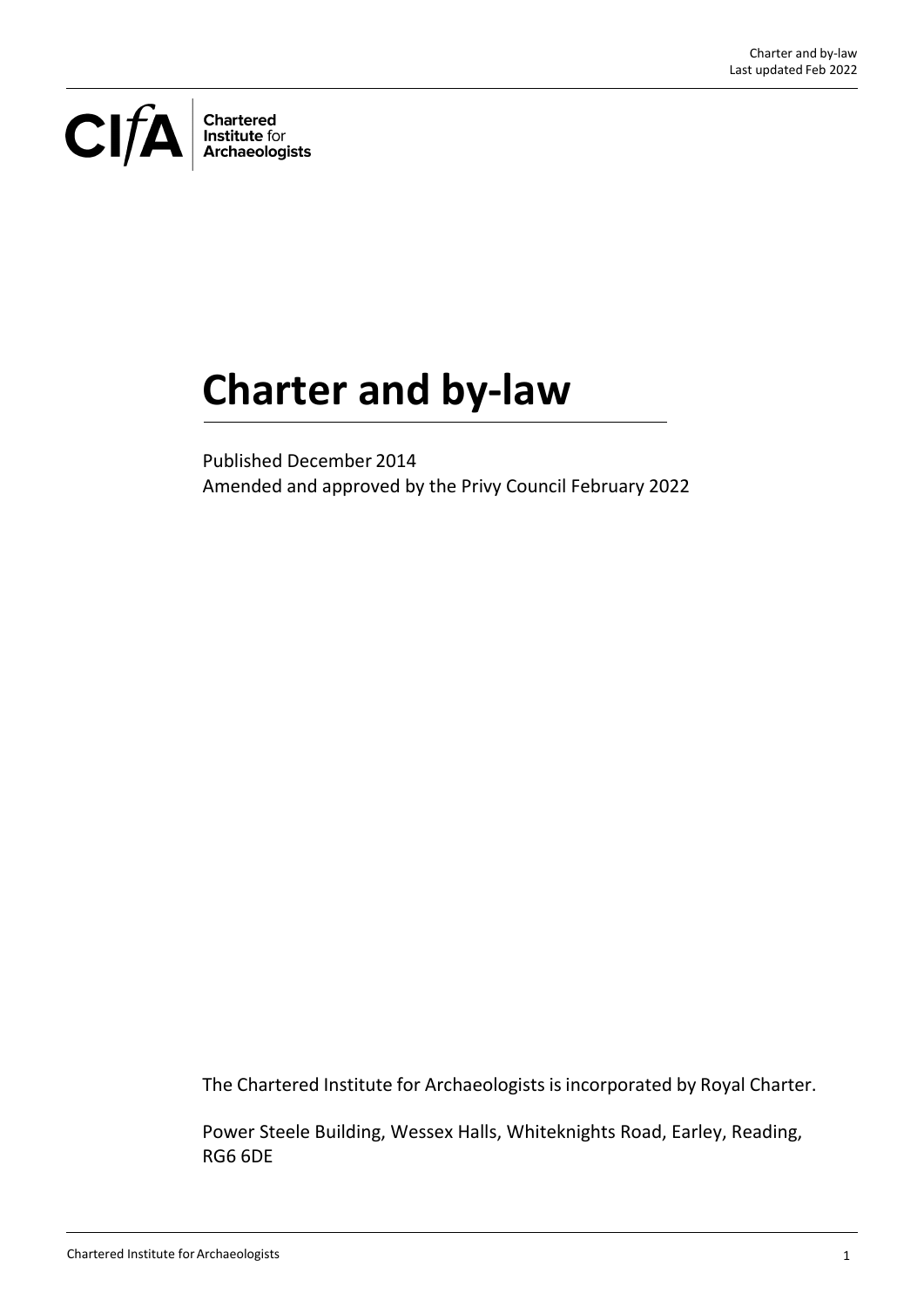CIFA **Chartered<br>Institute for<br>Archaeologists** 

# **Charter and by‐law**

Published December 2014 Amended and approved by the Privy Council February 2022

The Chartered Institute for Archaeologists is incorporated by Royal Charter.

Power Steele Building, Wessex Halls, Whiteknights Road, Earley, Reading, RG6 6DE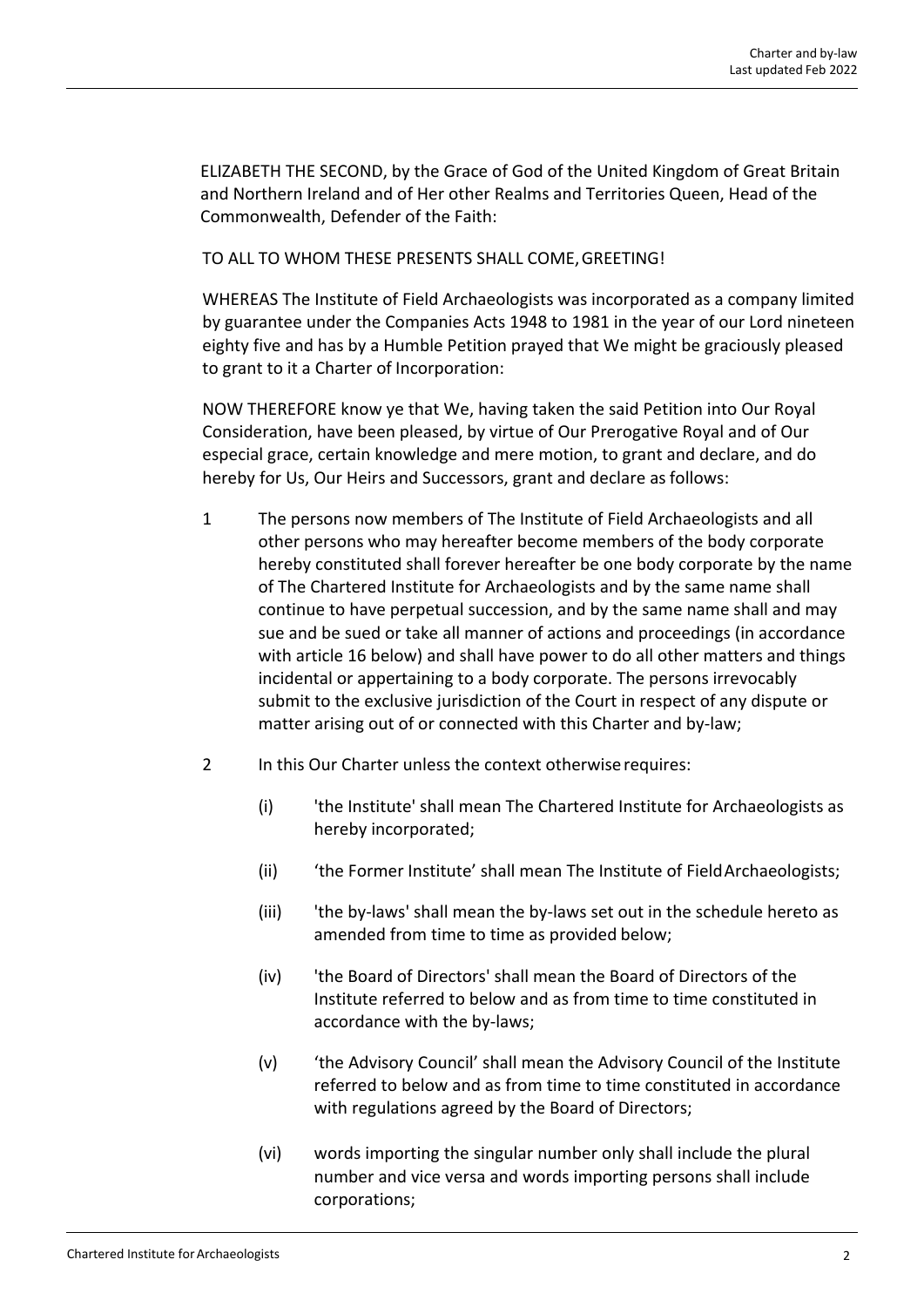ELIZABETH THE SECOND, by the Grace of God of the United Kingdom of Great Britain and Northern Ireland and of Her other Realms and Territories Queen, Head of the Commonwealth, Defender of the Faith:

TO ALL TO WHOM THESE PRESENTS SHALL COME,GREETING!

WHEREAS The Institute of Field Archaeologists was incorporated as a company limited by guarantee under the Companies Acts 1948 to 1981 in the year of our Lord nineteen eighty five and has by a Humble Petition prayed that We might be graciously pleased to grant to it a Charter of Incorporation:

NOW THEREFORE know ye that We, having taken the said Petition into Our Royal Consideration, have been pleased, by virtue of Our Prerogative Royal and of Our especial grace, certain knowledge and mere motion, to grant and declare, and do hereby for Us, Our Heirs and Successors, grant and declare as follows:

- 1 The persons now members of The Institute of Field Archaeologists and all other persons who may hereafter become members of the body corporate hereby constituted shall forever hereafter be one body corporate by the name of The Chartered Institute for Archaeologists and by the same name shall continue to have perpetual succession, and by the same name shall and may sue and be sued or take all manner of actions and proceedings (in accordance with article 16 below) and shall have power to do all other matters and things incidental or appertaining to a body corporate. The persons irrevocably submit to the exclusive jurisdiction of the Court in respect of any dispute or matter arising out of or connected with this Charter and by‐law;
- 2 In this Our Charter unless the context otherwiserequires:
	- (i) 'the Institute' shall mean The Chartered Institute for Archaeologists as hereby incorporated;
	- (ii) 'the Former Institute' shall mean The Institute of Field Archaeologists;
	- (iii) 'the by‐laws' shall mean the by‐laws set out in the schedule hereto as amended from time to time as provided below;
	- (iv) 'the Board of Directors' shall mean the Board of Directors of the Institute referred to below and as from time to time constituted in accordance with the by‐laws;
	- (v) 'the Advisory Council' shall mean the Advisory Council of the Institute referred to below and as from time to time constituted in accordance with regulations agreed by the Board of Directors;
	- (vi) words importing the singular number only shall include the plural number and vice versa and words importing persons shall include corporations;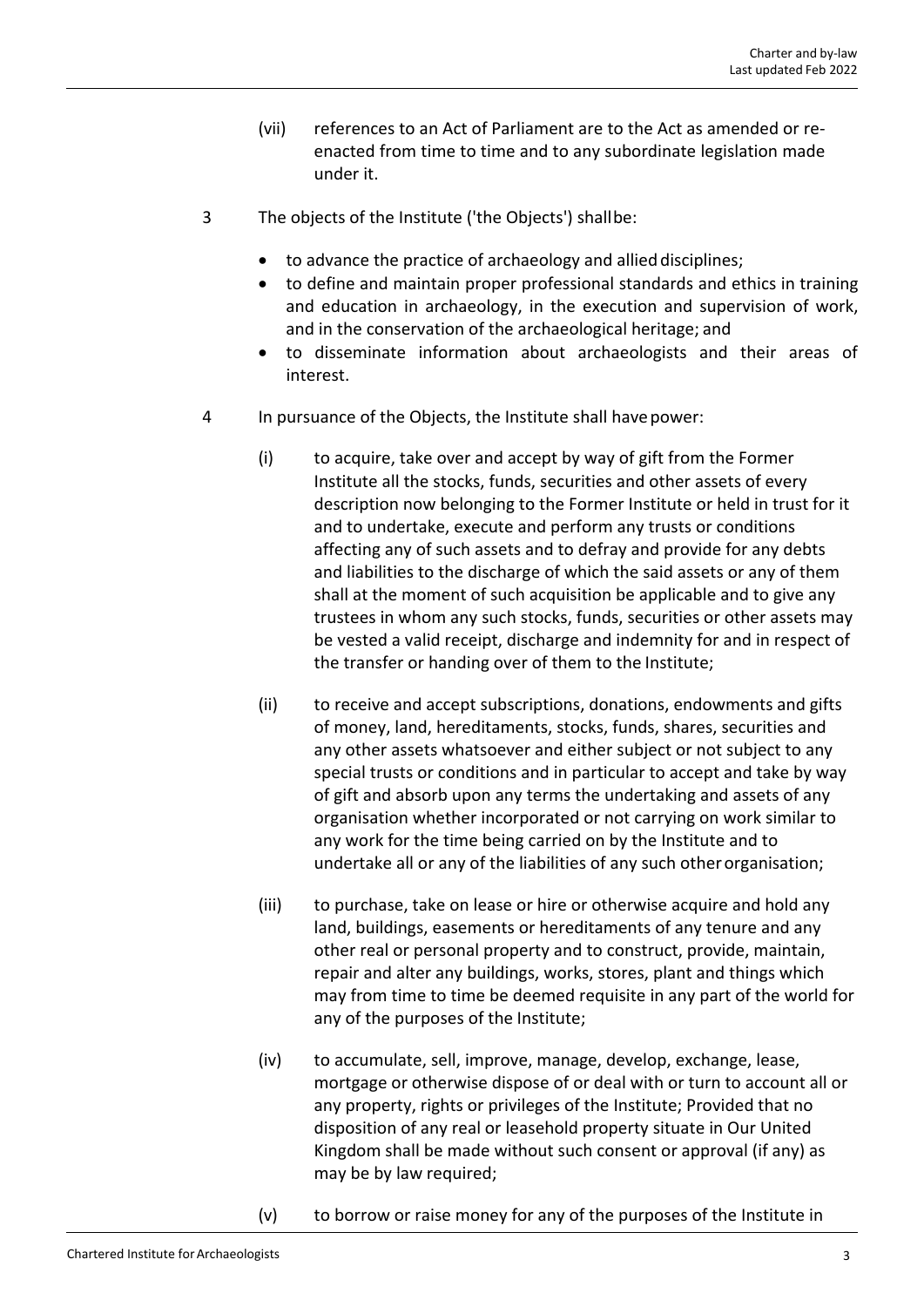- (vii) references to an Act of Parliament are to the Act as amended or re‐ enacted from time to time and to any subordinate legislation made under it.
- 3 The objects of the Institute ('the Objects') shallbe:
	- to advance the practice of archaeology and allied disciplines;
	- to define and maintain proper professional standards and ethics in training and education in archaeology, in the execution and supervision of work, and in the conservation of the archaeological heritage; and
	- to disseminate information about archaeologists and their areas of interest.
- 4 In pursuance of the Objects, the Institute shall havepower:
	- (i) to acquire, take over and accept by way of gift from the Former Institute all the stocks, funds, securities and other assets of every description now belonging to the Former Institute or held in trust for it and to undertake, execute and perform any trusts or conditions affecting any of such assets and to defray and provide for any debts and liabilities to the discharge of which the said assets or any of them shall at the moment of such acquisition be applicable and to give any trustees in whom any such stocks, funds, securities or other assets may be vested a valid receipt, discharge and indemnity for and in respect of the transfer or handing over of them to the Institute;
	- (ii) to receive and accept subscriptions, donations, endowments and gifts of money, land, hereditaments, stocks, funds, shares, securities and any other assets whatsoever and either subject or not subject to any special trusts or conditions and in particular to accept and take by way of gift and absorb upon any terms the undertaking and assets of any organisation whether incorporated or not carrying on work similar to any work for the time being carried on by the Institute and to undertake all or any of the liabilities of any such otherorganisation;
	- (iii) to purchase, take on lease or hire or otherwise acquire and hold any land, buildings, easements or hereditaments of any tenure and any other real or personal property and to construct, provide, maintain, repair and alter any buildings, works, stores, plant and things which may from time to time be deemed requisite in any part of the world for any of the purposes of the Institute;
	- (iv) to accumulate, sell, improve, manage, develop, exchange, lease, mortgage or otherwise dispose of or deal with or turn to account all or any property, rights or privileges of the Institute; Provided that no disposition of any real or leasehold property situate in Our United Kingdom shall be made without such consent or approval (if any) as may be by law required;
	- (v) to borrow or raise money for any of the purposes of the Institute in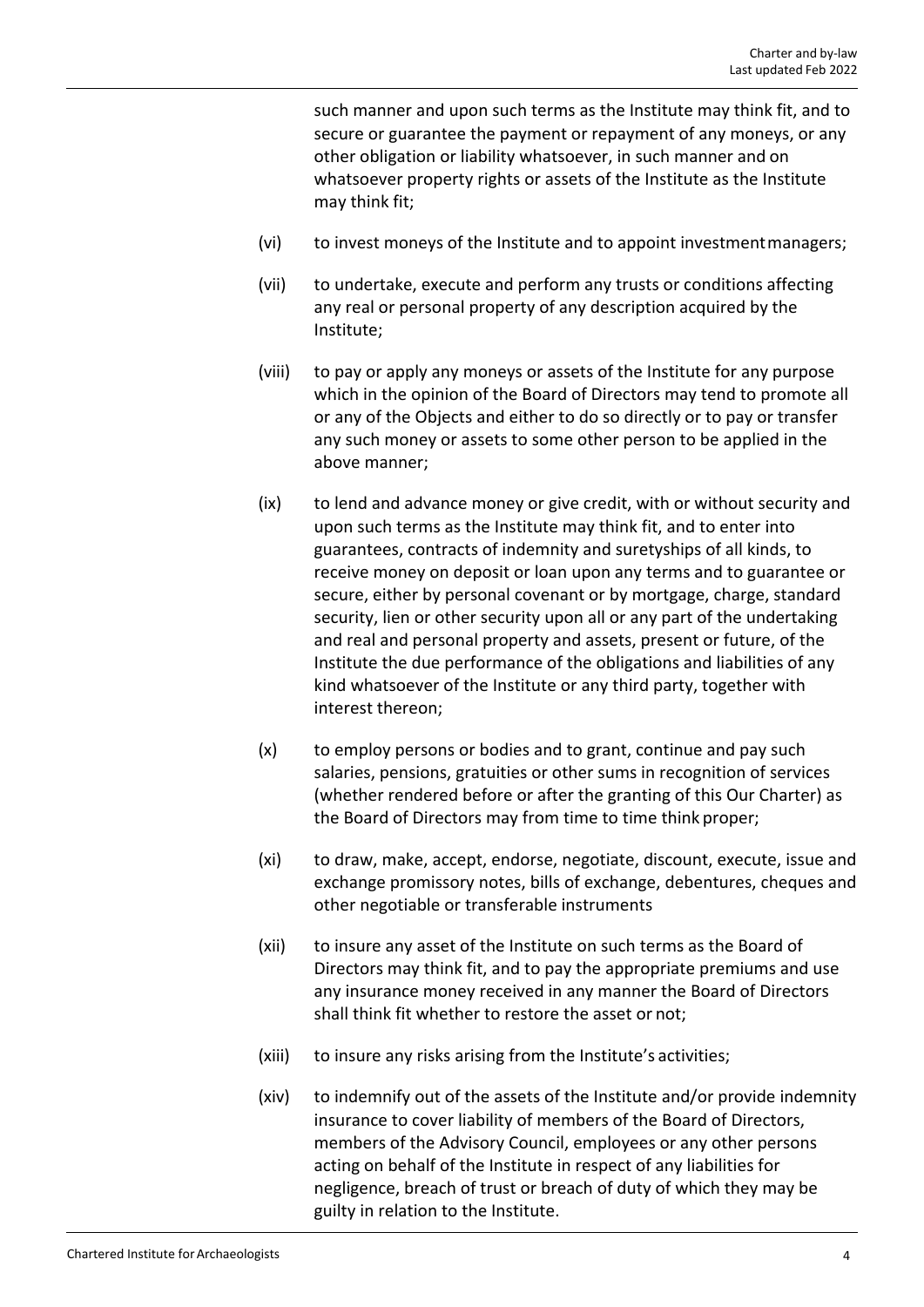such manner and upon such terms as the Institute may think fit, and to secure or guarantee the payment or repayment of any moneys, or any other obligation or liability whatsoever, in such manner and on whatsoever property rights or assets of the Institute as the Institute may think fit;

- (vi) to invest moneys of the Institute and to appoint investmentmanagers;
- (vii) to undertake, execute and perform any trusts or conditions affecting any real or personal property of any description acquired by the Institute;
- (viii) to pay or apply any moneys or assets of the Institute for any purpose which in the opinion of the Board of Directors may tend to promote all or any of the Objects and either to do so directly or to pay or transfer any such money or assets to some other person to be applied in the above manner;
- (ix) to lend and advance money or give credit, with or without security and upon such terms as the Institute may think fit, and to enter into guarantees, contracts of indemnity and suretyships of all kinds, to receive money on deposit or loan upon any terms and to guarantee or secure, either by personal covenant or by mortgage, charge, standard security, lien or other security upon all or any part of the undertaking and real and personal property and assets, present or future, of the Institute the due performance of the obligations and liabilities of any kind whatsoever of the Institute or any third party, together with interest thereon;
- (x) to employ persons or bodies and to grant, continue and pay such salaries, pensions, gratuities or other sums in recognition of services (whether rendered before or after the granting of this Our Charter) as the Board of Directors may from time to time think proper;
- (xi) to draw, make, accept, endorse, negotiate, discount, execute, issue and exchange promissory notes, bills of exchange, debentures, cheques and other negotiable or transferable instruments
- (xii) to insure any asset of the Institute on such terms as the Board of Directors may think fit, and to pay the appropriate premiums and use any insurance money received in any manner the Board of Directors shall think fit whether to restore the asset or not;
- (xiii) to insure any risks arising from the Institute's activities;
- (xiv) to indemnify out of the assets of the Institute and/or provide indemnity insurance to cover liability of members of the Board of Directors, members of the Advisory Council, employees or any other persons acting on behalf of the Institute in respect of any liabilities for negligence, breach of trust or breach of duty of which they may be guilty in relation to the Institute.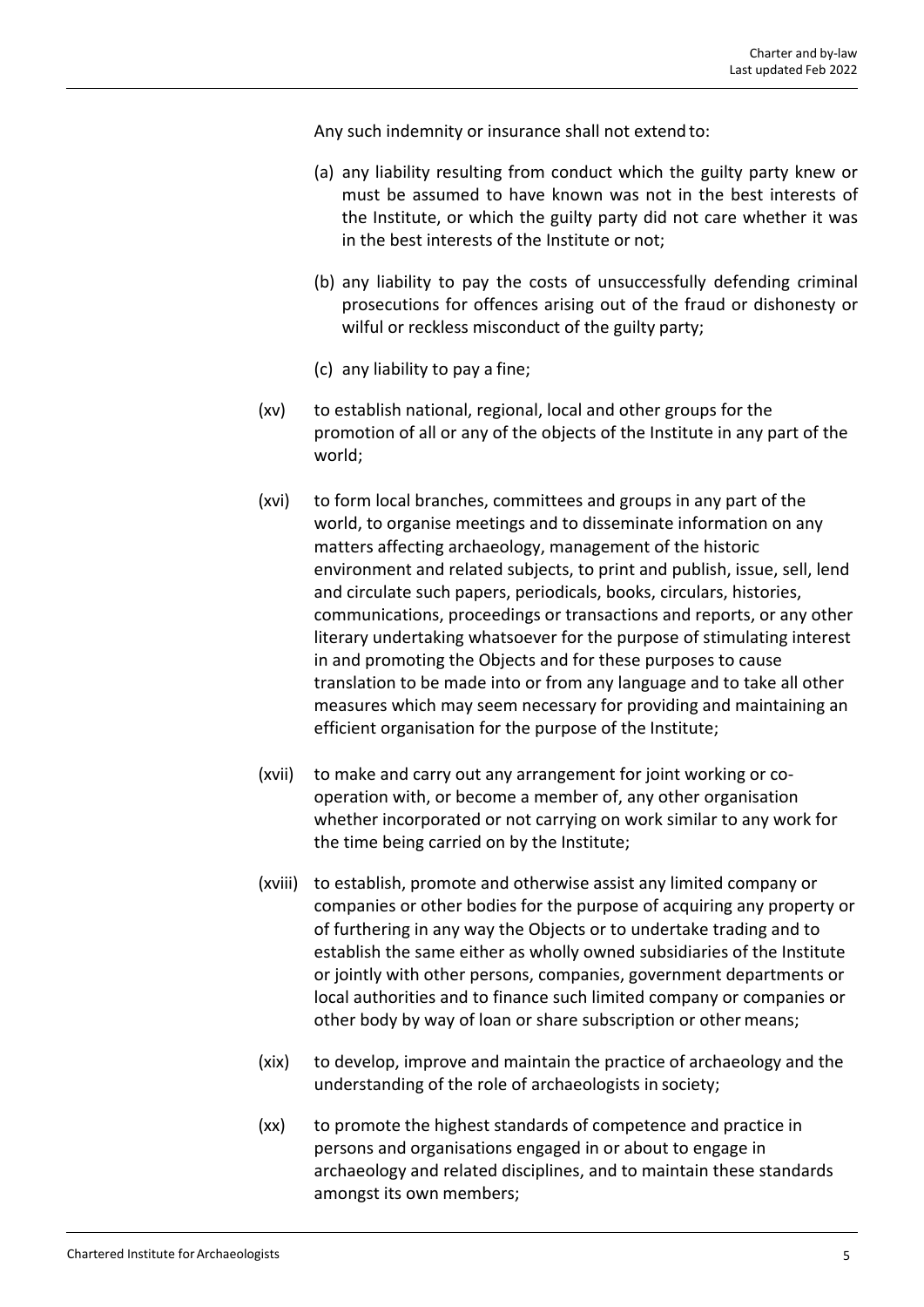Any such indemnity or insurance shall not extend to:

- (a) any liability resulting from conduct which the guilty party knew or must be assumed to have known was not in the best interests of the Institute, or which the guilty party did not care whether it was in the best interests of the Institute or not;
- (b) any liability to pay the costs of unsuccessfully defending criminal prosecutions for offences arising out of the fraud or dishonesty or wilful or reckless misconduct of the guilty party;
- (c) any liability to pay a fine;
- (xv) to establish national, regional, local and other groups for the promotion of all or any of the objects of the Institute in any part of the world;
- (xvi) to form local branches, committees and groups in any part of the world, to organise meetings and to disseminate information on any matters affecting archaeology, management of the historic environment and related subjects, to print and publish, issue, sell, lend and circulate such papers, periodicals, books, circulars, histories, communications, proceedings or transactions and reports, or any other literary undertaking whatsoever for the purpose of stimulating interest in and promoting the Objects and for these purposes to cause translation to be made into or from any language and to take all other measures which may seem necessary for providing and maintaining an efficient organisation for the purpose of the Institute;
- (xvii) to make and carry out any arrangement for joint working or co‐ operation with, or become a member of, any other organisation whether incorporated or not carrying on work similar to any work for the time being carried on by the Institute;
- (xviii) to establish, promote and otherwise assist any limited company or companies or other bodies for the purpose of acquiring any property or of furthering in any way the Objects or to undertake trading and to establish the same either as wholly owned subsidiaries of the Institute or jointly with other persons, companies, government departments or local authorities and to finance such limited company or companies or other body by way of loan or share subscription or other means;
- (xix) to develop, improve and maintain the practice of archaeology and the understanding of the role of archaeologists in society;
- (xx) to promote the highest standards of competence and practice in persons and organisations engaged in or about to engage in archaeology and related disciplines, and to maintain these standards amongst its own members;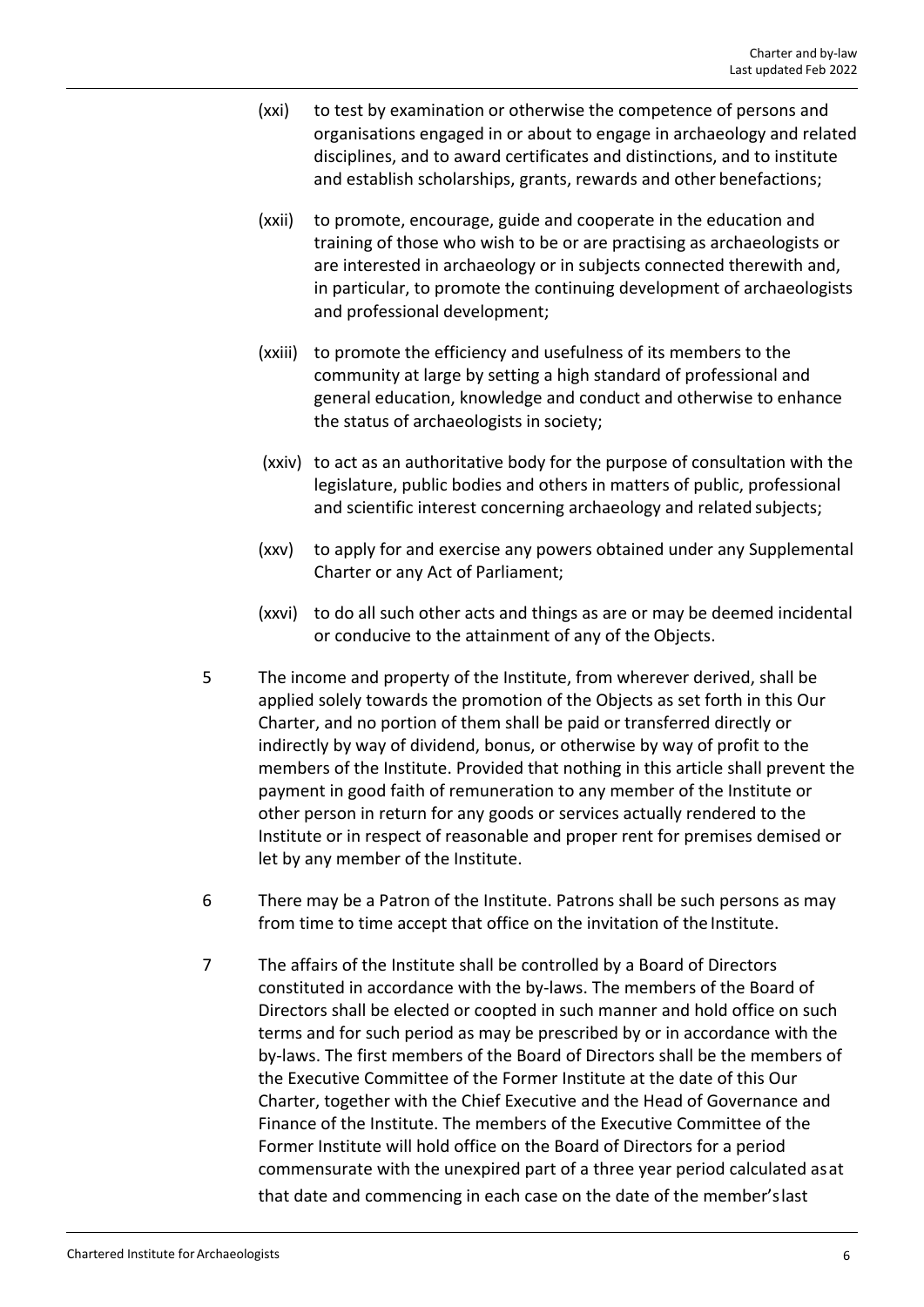- (xxi) to test by examination or otherwise the competence of persons and organisations engaged in or about to engage in archaeology and related disciplines, and to award certificates and distinctions, and to institute and establish scholarships, grants, rewards and other benefactions;
- (xxii) to promote, encourage, guide and cooperate in the education and training of those who wish to be or are practising as archaeologists or are interested in archaeology or in subjects connected therewith and, in particular, to promote the continuing development of archaeologists and professional development;
- (xxiii) to promote the efficiency and usefulness of its members to the community at large by setting a high standard of professional and general education, knowledge and conduct and otherwise to enhance the status of archaeologists in society;
- (xxiv) to act as an authoritative body for the purpose of consultation with the legislature, public bodies and others in matters of public, professional and scientific interest concerning archaeology and related subjects;
- (xxv) to apply for and exercise any powers obtained under any Supplemental Charter or any Act of Parliament;
- (xxvi) to do all such other acts and things as are or may be deemed incidental or conducive to the attainment of any of the Objects.
- 5 The income and property of the Institute, from wherever derived, shall be applied solely towards the promotion of the Objects as set forth in this Our Charter, and no portion of them shall be paid or transferred directly or indirectly by way of dividend, bonus, or otherwise by way of profit to the members of the Institute. Provided that nothing in this article shall prevent the payment in good faith of remuneration to any member of the Institute or other person in return for any goods or services actually rendered to the Institute or in respect of reasonable and proper rent for premises demised or let by any member of the Institute.
- 6 There may be a Patron of the Institute. Patrons shall be such persons as may from time to time accept that office on the invitation of the Institute.
- 7 The affairs of the Institute shall be controlled by a Board of Directors constituted in accordance with the by‐laws. The members of the Board of Directors shall be elected or coopted in such manner and hold office on such terms and for such period as may be prescribed by or in accordance with the by‐laws. The first members of the Board of Directors shall be the members of the Executive Committee of the Former Institute at the date of this Our Charter, together with the Chief Executive and the Head of Governance and Finance of the Institute. The members of the Executive Committee of the Former Institute will hold office on the Board of Directors for a period commensurate with the unexpired part of a three year period calculated asat that date and commencing in each case on the date of the member'slast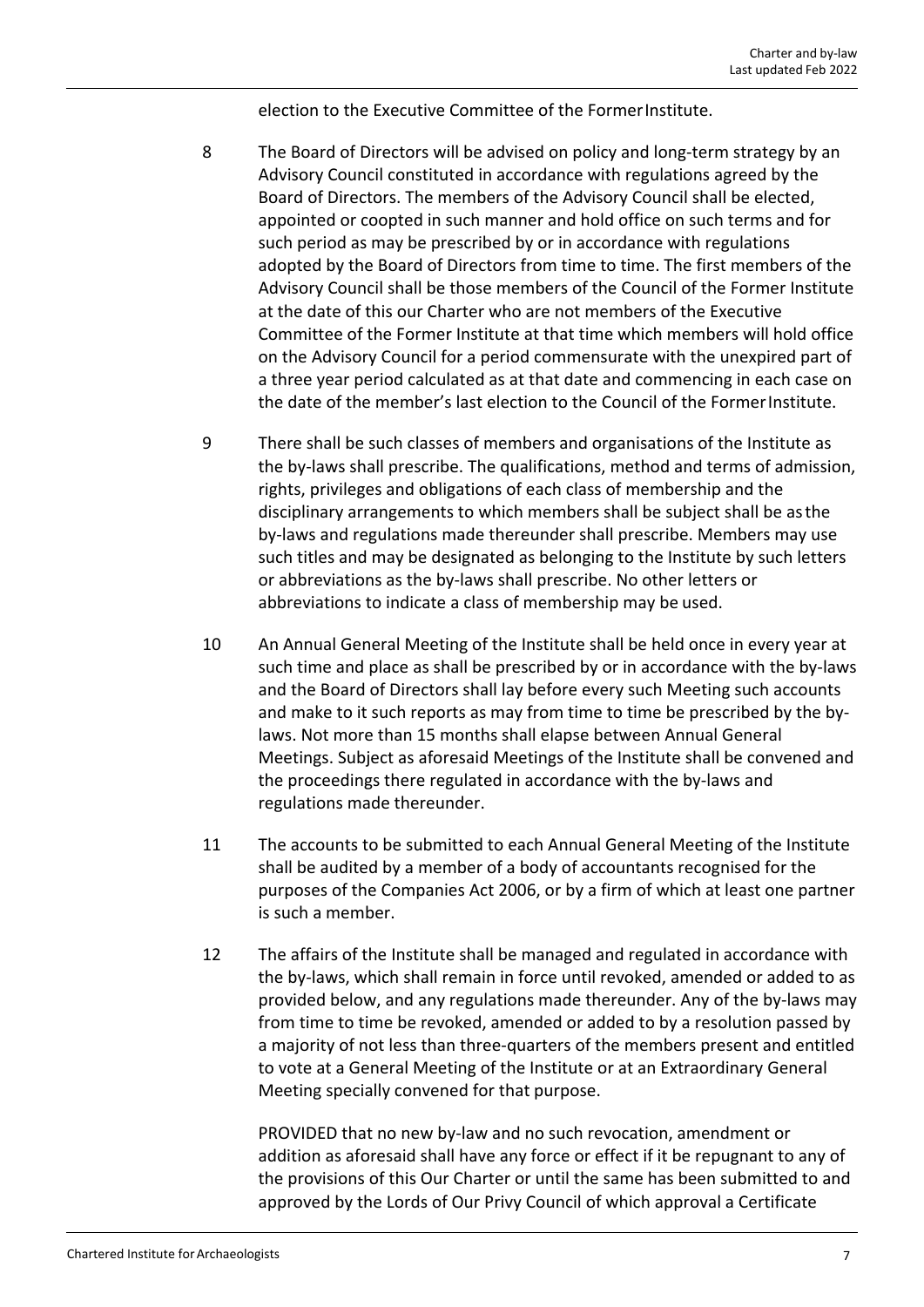election to the Executive Committee of the FormerInstitute.

- 8 The Board of Directors will be advised on policy and long-term strategy by an Advisory Council constituted in accordance with regulations agreed by the Board of Directors. The members of the Advisory Council shall be elected, appointed or coopted in such manner and hold office on such terms and for such period as may be prescribed by or in accordance with regulations adopted by the Board of Directors from time to time. The first members of the Advisory Council shall be those members of the Council of the Former Institute at the date of this our Charter who are not members of the Executive Committee of the Former Institute at that time which members will hold office on the Advisory Council for a period commensurate with the unexpired part of a three year period calculated as at that date and commencing in each case on the date of the member's last election to the Council of the FormerInstitute.
- 9 There shall be such classes of members and organisations of the Institute as the by‐laws shall prescribe. The qualifications, method and terms of admission, rights, privileges and obligations of each class of membership and the disciplinary arrangements to which members shall be subject shall be asthe by‐laws and regulations made thereunder shall prescribe. Members may use such titles and may be designated as belonging to the Institute by such letters or abbreviations as the by‐laws shall prescribe. No other letters or abbreviations to indicate a class of membership may be used.
- 10 An Annual General Meeting of the Institute shall be held once in every year at such time and place as shall be prescribed by or in accordance with the by-laws and the Board of Directors shall lay before every such Meeting such accounts and make to it such reports as may from time to time be prescribed by the by‐ laws. Not more than 15 months shall elapse between Annual General Meetings. Subject as aforesaid Meetings of the Institute shall be convened and the proceedings there regulated in accordance with the by‐laws and regulations made thereunder.
- 11 The accounts to be submitted to each Annual General Meeting of the Institute shall be audited by a member of a body of accountants recognised for the purposes of the Companies Act 2006, or by a firm of which at least one partner is such a member.
- 12 The affairs of the Institute shall be managed and regulated in accordance with the by‐laws, which shall remain in force until revoked, amended or added to as provided below, and any regulations made thereunder. Any of the by‐laws may from time to time be revoked, amended or added to by a resolution passed by a majority of not less than three‐quarters of the members present and entitled to vote at a General Meeting of the Institute or at an Extraordinary General Meeting specially convened for that purpose.

PROVIDED that no new by‐law and no such revocation, amendment or addition as aforesaid shall have any force or effect if it be repugnant to any of the provisions of this Our Charter or until the same has been submitted to and approved by the Lords of Our Privy Council of which approval a Certificate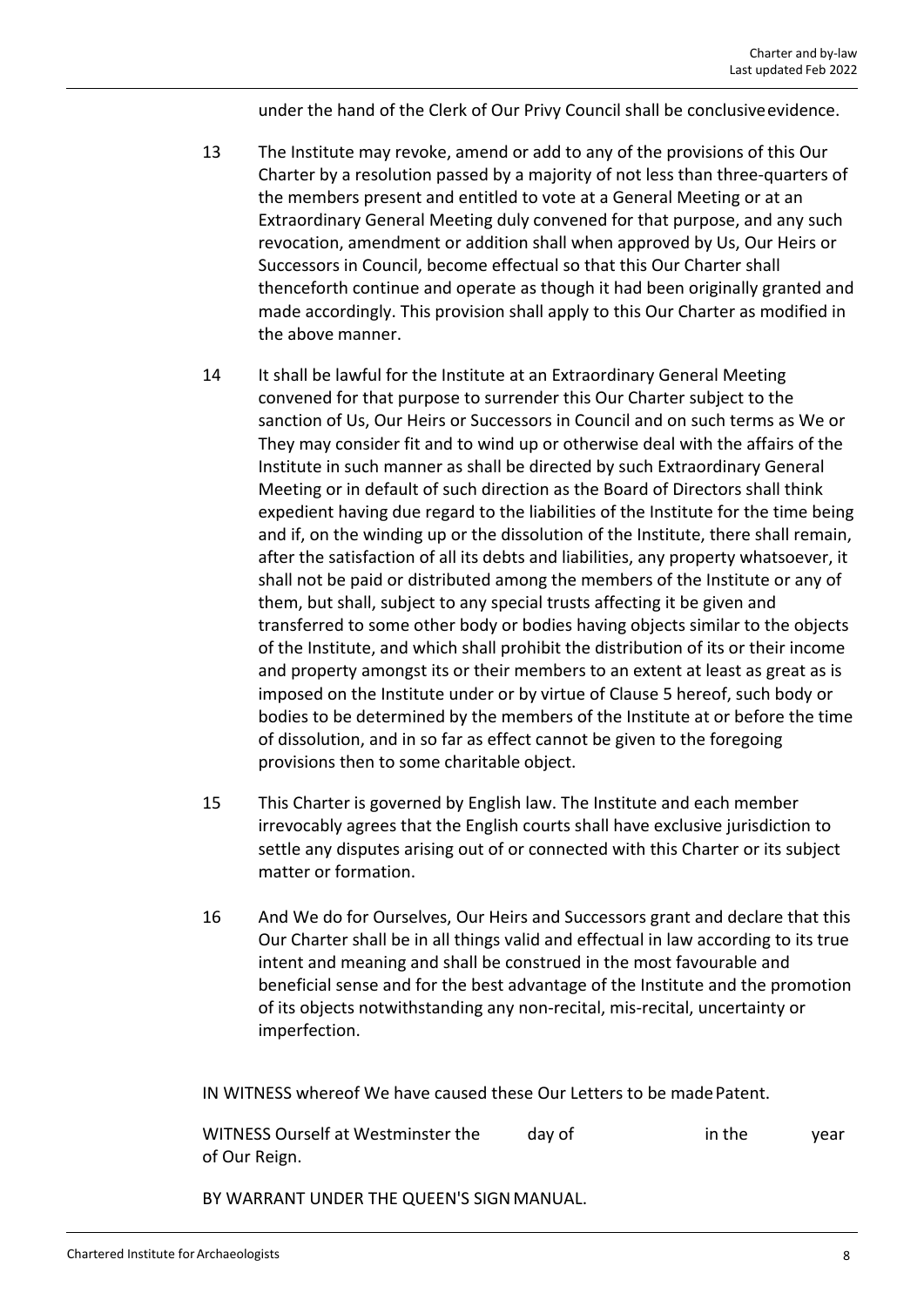under the hand of the Clerk of Our Privy Council shall be conclusiveevidence.

- 13 The Institute may revoke, amend or add to any of the provisions of this Our Charter by a resolution passed by a majority of not less than three‐quarters of the members present and entitled to vote at a General Meeting or at an Extraordinary General Meeting duly convened for that purpose, and any such revocation, amendment or addition shall when approved by Us, Our Heirs or Successors in Council, become effectual so that this Our Charter shall thenceforth continue and operate as though it had been originally granted and made accordingly. This provision shall apply to this Our Charter as modified in the above manner.
- 14 It shall be lawful for the Institute at an Extraordinary General Meeting convened for that purpose to surrender this Our Charter subject to the sanction of Us, Our Heirs or Successors in Council and on such terms as We or They may consider fit and to wind up or otherwise deal with the affairs of the Institute in such manner as shall be directed by such Extraordinary General Meeting or in default of such direction as the Board of Directors shall think expedient having due regard to the liabilities of the Institute for the time being and if, on the winding up or the dissolution of the Institute, there shall remain, after the satisfaction of all its debts and liabilities, any property whatsoever, it shall not be paid or distributed among the members of the Institute or any of them, but shall, subject to any special trusts affecting it be given and transferred to some other body or bodies having objects similar to the objects of the Institute, and which shall prohibit the distribution of its or their income and property amongst its or their members to an extent at least as great as is imposed on the Institute under or by virtue of Clause 5 hereof, such body or bodies to be determined by the members of the Institute at or before the time of dissolution, and in so far as effect cannot be given to the foregoing provisions then to some charitable object.
- 15 This Charter is governed by English law. The Institute and each member irrevocably agrees that the English courts shall have exclusive jurisdiction to settle any disputes arising out of or connected with this Charter or its subject matter or formation.
- 16 And We do for Ourselves, Our Heirs and Successors grant and declare that this Our Charter shall be in all things valid and effectual in law according to its true intent and meaning and shall be construed in the most favourable and beneficial sense and for the best advantage of the Institute and the promotion of its objects notwithstanding any non‐recital, mis‐recital, uncertainty or imperfection.

IN WITNESS whereof We have caused these Our Letters to be madePatent.

WITNESS Ourself at Westminster the day of in the year of Our Reign.

BY WARRANT UNDER THE QUEEN'S SIGNMANUAL.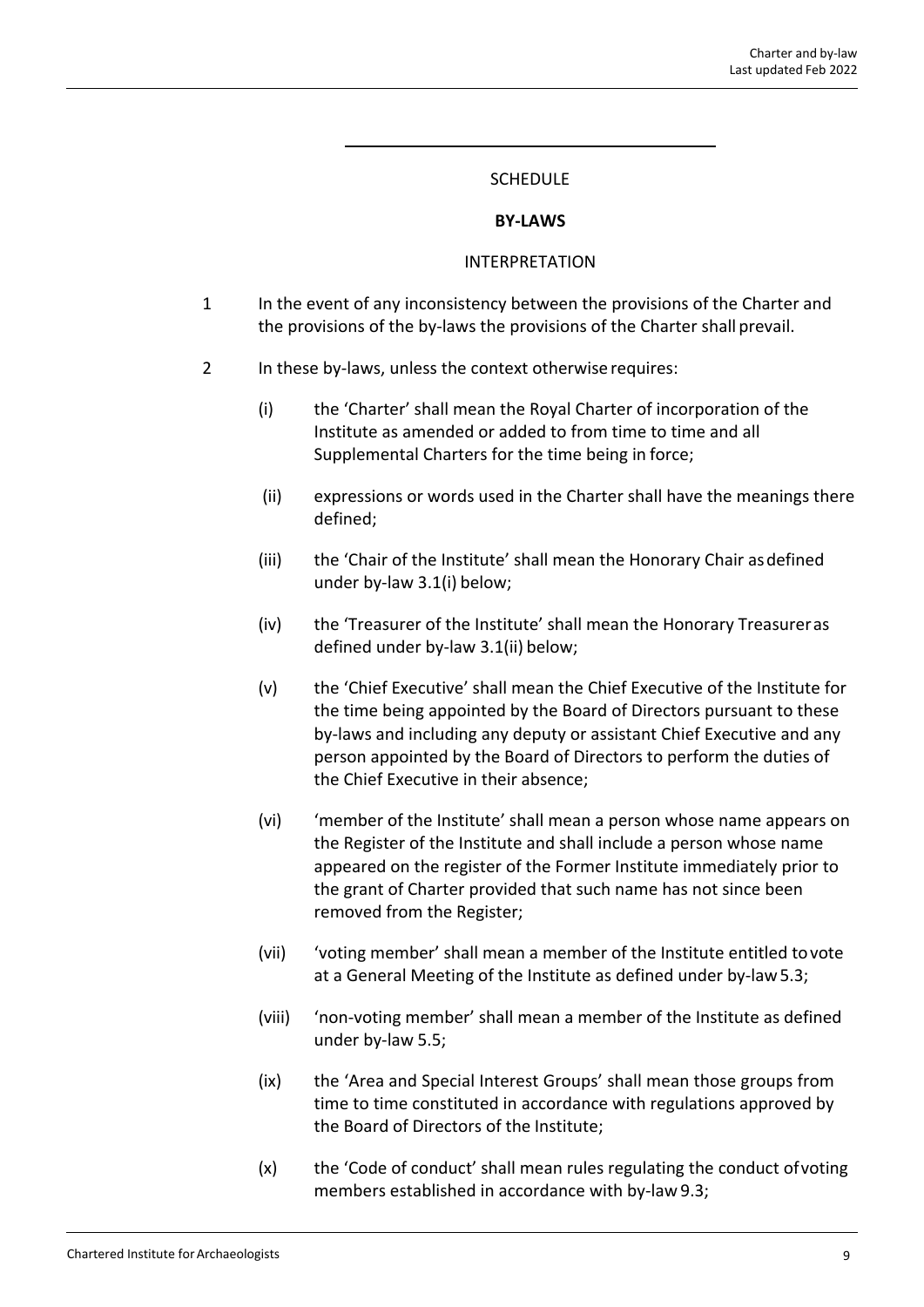#### SCHEDULE

#### **BY‐LAWS**

#### INTERPRETATION

- 1 In the event of any inconsistency between the provisions of the Charter and the provisions of the by‐laws the provisions of the Charter shall prevail.
- 2 In these by-laws, unless the context otherwise requires:
	- (i) the 'Charter' shall mean the Royal Charter of incorporation of the Institute as amended or added to from time to time and all Supplemental Charters for the time being in force;
	- (ii) expressions or words used in the Charter shall have the meanings there defined;
	- (iii) the 'Chair of the Institute' shall mean the Honorary Chair asdefined under by‐law 3.1(i) below;
	- (iv) the 'Treasurer of the Institute' shall mean the Honorary Treasureras defined under by‐law 3.1(ii) below;
	- (v) the 'Chief Executive' shall mean the Chief Executive of the Institute for the time being appointed by the Board of Directors pursuant to these by‐laws and including any deputy or assistant Chief Executive and any person appointed by the Board of Directors to perform the duties of the Chief Executive in their absence;
	- (vi) 'member of the Institute' shall mean a person whose name appears on the Register of the Institute and shall include a person whose name appeared on the register of the Former Institute immediately prior to the grant of Charter provided that such name has not since been removed from the Register;
	- (vii) 'voting member' shall mean a member of the Institute entitled tovote at a General Meeting of the Institute as defined under by‐law5.3;
	- (viii) 'non‐voting member' shall mean a member of the Institute as defined under by‐law 5.5;
	- (ix) the 'Area and Special Interest Groups' shall mean those groups from time to time constituted in accordance with regulations approved by the Board of Directors of the Institute;
	- (x) the 'Code of conduct' shall mean rules regulating the conduct ofvoting members established in accordance with by-law 9.3;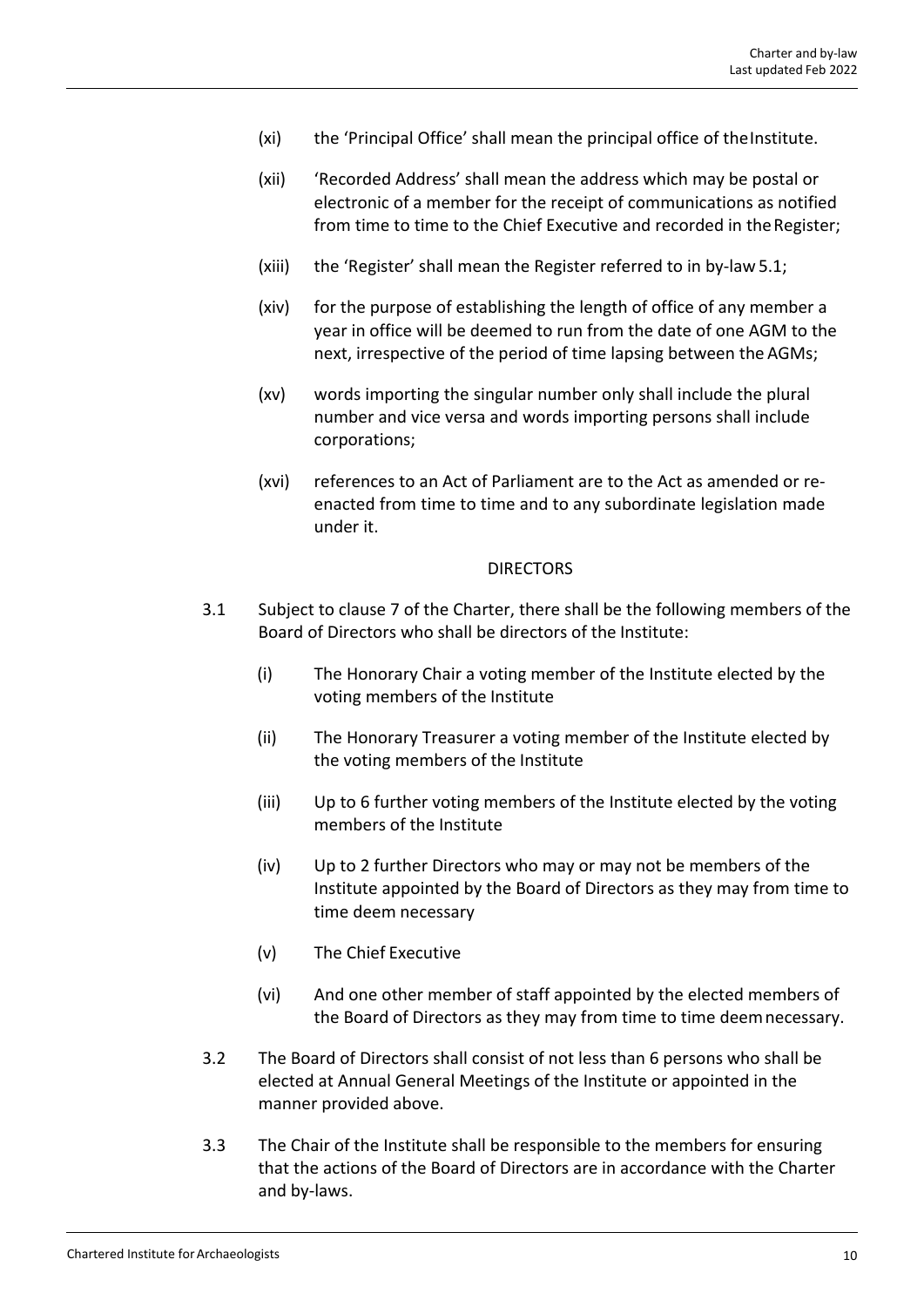- (xi) the 'Principal Office' shall mean the principal office of the Institute.
- (xii) 'Recorded Address' shall mean the address which may be postal or electronic of a member for the receipt of communications as notified from time to time to the Chief Executive and recorded in theRegister;
- (xiii) the 'Register' shall mean the Register referred to in by‐law 5.1;
- (xiv) for the purpose of establishing the length of office of any member a year in office will be deemed to run from the date of one AGM to the next, irrespective of the period of time lapsing between the AGMs;
- (xv) words importing the singular number only shall include the plural number and vice versa and words importing persons shall include corporations;
- (xvi) references to an Act of Parliament are to the Act as amended or re‐ enacted from time to time and to any subordinate legislation made under it.

#### DIRECTORS

- 3.1 Subject to clause 7 of the Charter, there shall be the following members of the Board of Directors who shall be directors of the Institute:
	- (i) The Honorary Chair a voting member of the Institute elected by the voting members of the Institute
	- (ii) The Honorary Treasurer a voting member of the Institute elected by the voting members of the Institute
	- (iii) Up to 6 further voting members of the Institute elected by the voting members of the Institute
	- (iv) Up to 2 further Directors who may or may not be members of the Institute appointed by the Board of Directors as they may from time to time deem necessary
	- (v) The Chief Executive
	- (vi) And one other member of staff appointed by the elected members of the Board of Directors as they may from time to time deemnecessary.
- 3.2 The Board of Directors shall consist of not less than 6 persons who shall be elected at Annual General Meetings of the Institute or appointed in the manner provided above.
- 3.3 The Chair of the Institute shall be responsible to the members for ensuring that the actions of the Board of Directors are in accordance with the Charter and by‐laws.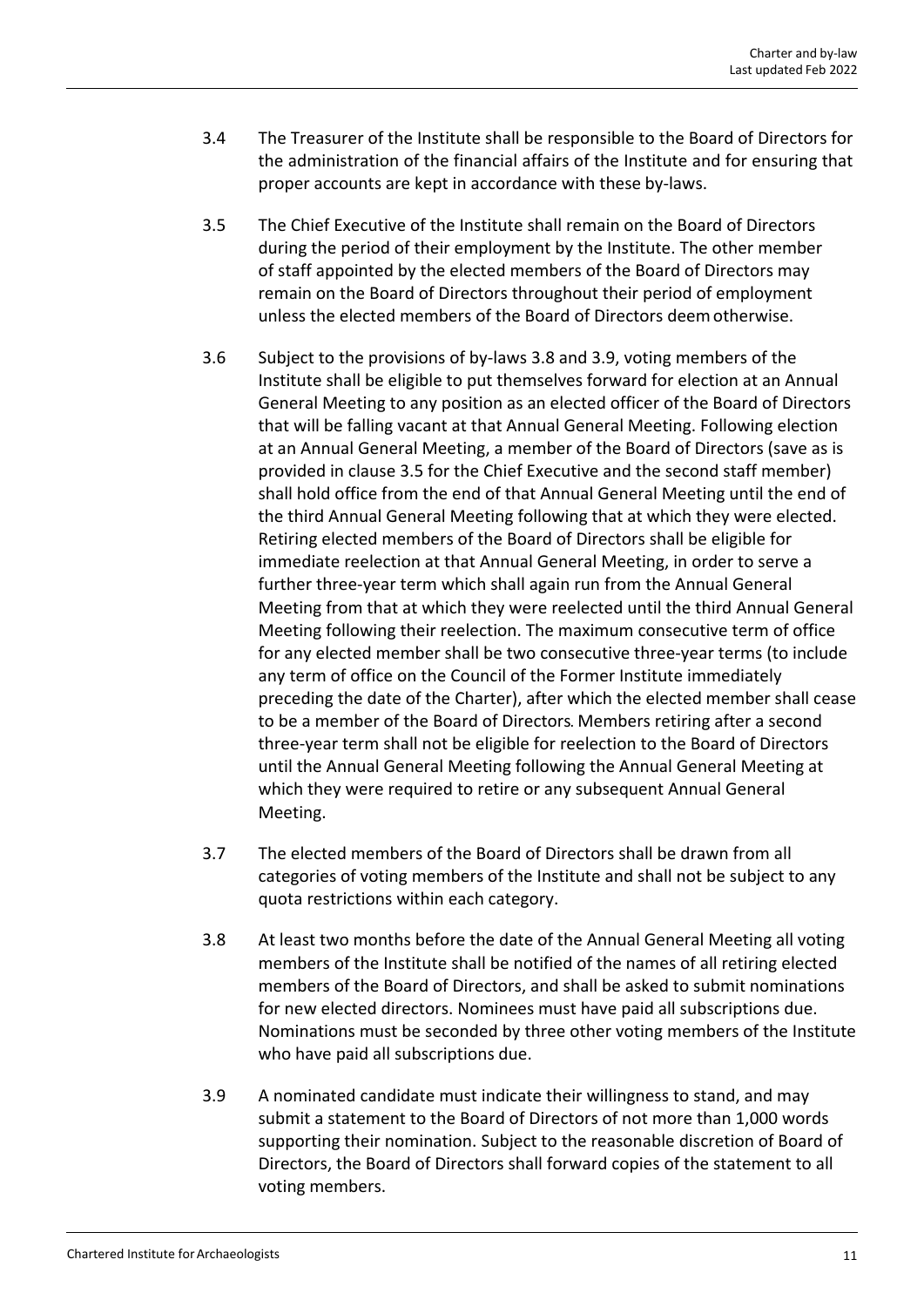- 3.4 The Treasurer of the Institute shall be responsible to the Board of Directors for the administration of the financial affairs of the Institute and for ensuring that proper accounts are kept in accordance with these by‐laws.
- 3.5 The Chief Executive of the Institute shall remain on the Board of Directors during the period of their employment by the Institute. The other member of staff appointed by the elected members of the Board of Directors may remain on the Board of Directors throughout their period of employment unless the elected members of the Board of Directors deemotherwise.
- 3.6 Subject to the provisions of by‐laws 3.8 and 3.9, voting members of the Institute shall be eligible to put themselves forward for election at an Annual General Meeting to any position as an elected officer of the Board of Directors that will be falling vacant at that Annual General Meeting. Following election at an Annual General Meeting, a member of the Board of Directors (save as is provided in clause 3.5 for the Chief Executive and the second staff member) shall hold office from the end of that Annual General Meeting until the end of the third Annual General Meeting following that at which they were elected. Retiring elected members of the Board of Directors shall be eligible for immediate reelection at that Annual General Meeting, in order to serve a further three‐year term which shall again run from the Annual General Meeting from that at which they were reelected until the third Annual General Meeting following their reelection. The maximum consecutive term of office for any elected member shall be two consecutive three‐year terms (to include any term of office on the Council of the Former Institute immediately preceding the date of the Charter), after which the elected member shall cease to be a member of the Board of Directors. Members retiring after a second three‐year term shall not be eligible for reelection to the Board of Directors until the Annual General Meeting following the Annual General Meeting at which they were required to retire or any subsequent Annual General Meeting.
- 3.7 The elected members of the Board of Directors shall be drawn from all categories of voting members of the Institute and shall not be subject to any quota restrictions within each category.
- 3.8 At least two months before the date of the Annual General Meeting all voting members of the Institute shall be notified of the names of all retiring elected members of the Board of Directors, and shall be asked to submit nominations for new elected directors. Nominees must have paid all subscriptions due. Nominations must be seconded by three other voting members of the Institute who have paid all subscriptions due.
- 3.9 A nominated candidate must indicate their willingness to stand, and may submit a statement to the Board of Directors of not more than 1,000 words supporting their nomination. Subject to the reasonable discretion of Board of Directors, the Board of Directors shall forward copies of the statement to all voting members.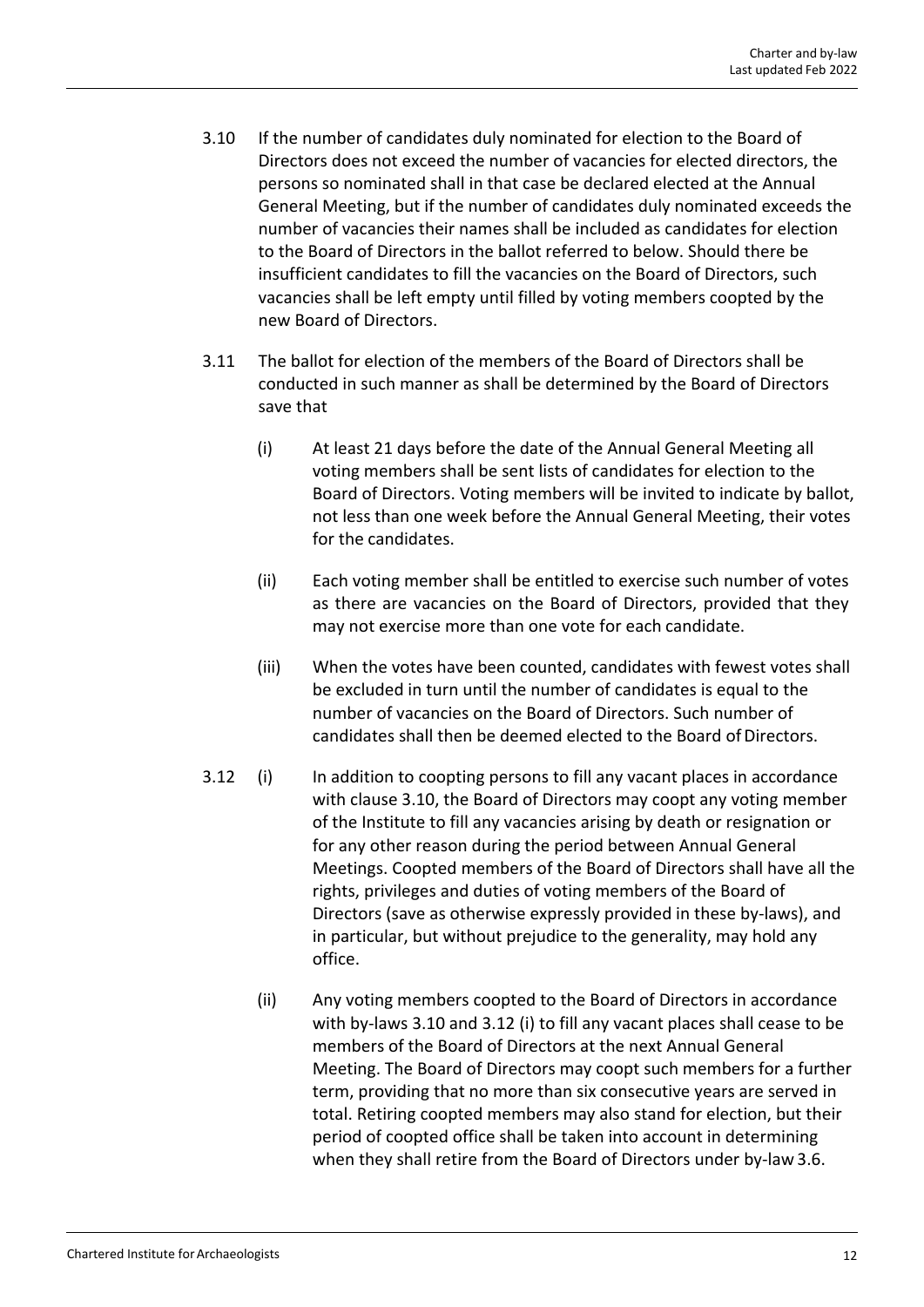- 3.10 If the number of candidates duly nominated for election to the Board of Directors does not exceed the number of vacancies for elected directors, the persons so nominated shall in that case be declared elected at the Annual General Meeting, but if the number of candidates duly nominated exceeds the number of vacancies their names shall be included as candidates for election to the Board of Directors in the ballot referred to below. Should there be insufficient candidates to fill the vacancies on the Board of Directors, such vacancies shall be left empty until filled by voting members coopted by the new Board of Directors.
- 3.11 The ballot for election of the members of the Board of Directors shall be conducted in such manner as shall be determined by the Board of Directors save that
	- (i) At least 21 days before the date of the Annual General Meeting all voting members shall be sent lists of candidates for election to the Board of Directors. Voting members will be invited to indicate by ballot, not less than one week before the Annual General Meeting, their votes for the candidates.
	- (ii) Each voting member shall be entitled to exercise such number of votes as there are vacancies on the Board of Directors, provided that they may not exercise more than one vote for each candidate.
	- (iii) When the votes have been counted, candidates with fewest votes shall be excluded in turn until the number of candidates is equal to the number of vacancies on the Board of Directors. Such number of candidates shall then be deemed elected to the Board of Directors.
- 3.12 (i) In addition to coopting persons to fill any vacant places in accordance with clause 3.10, the Board of Directors may coopt any voting member of the Institute to fill any vacancies arising by death or resignation or for any other reason during the period between Annual General Meetings. Coopted members of the Board of Directors shall have all the rights, privileges and duties of voting members of the Board of Directors (save as otherwise expressly provided in these by‐laws), and in particular, but without prejudice to the generality, may hold any office.
	- (ii) Any voting members coopted to the Board of Directors in accordance with by-laws 3.10 and 3.12 (i) to fill any vacant places shall cease to be members of the Board of Directors at the next Annual General Meeting. The Board of Directors may coopt such members for a further term, providing that no more than six consecutive years are served in total. Retiring coopted members may also stand for election, but their period of coopted office shall be taken into account in determining when they shall retire from the Board of Directors under by-law 3.6.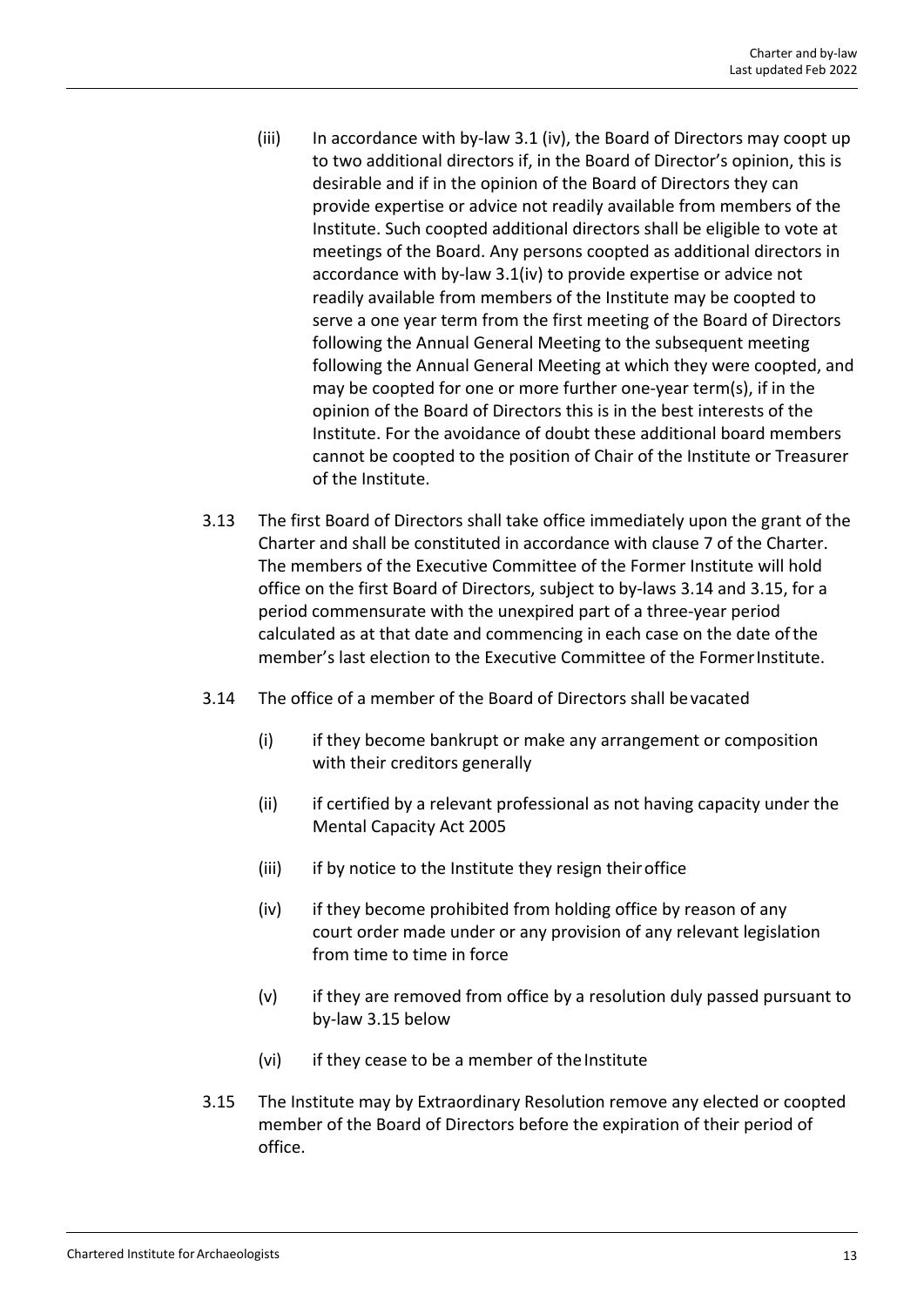- $(iii)$  In accordance with by-law 3.1 (iv), the Board of Directors may coopt up to two additional directors if, in the Board of Director's opinion, this is desirable and if in the opinion of the Board of Directors they can provide expertise or advice not readily available from members of the Institute. Such coopted additional directors shall be eligible to vote at meetings of the Board. Any persons coopted as additional directors in accordance with by-law 3.1(iv) to provide expertise or advice not readily available from members of the Institute may be coopted to serve a one year term from the first meeting of the Board of Directors following the Annual General Meeting to the subsequent meeting following the Annual General Meeting at which they were coopted, and may be coopted for one or more further one‐year term(s), if in the opinion of the Board of Directors this is in the best interests of the Institute. For the avoidance of doubt these additional board members cannot be coopted to the position of Chair of the Institute or Treasurer of the Institute.
- 3.13 The first Board of Directors shall take office immediately upon the grant of the Charter and shall be constituted in accordance with clause 7 of the Charter. The members of the Executive Committee of the Former Institute will hold office on the first Board of Directors, subject to by‐laws 3.14 and 3.15, for a period commensurate with the unexpired part of a three‐year period calculated as at that date and commencing in each case on the date ofthe member's last election to the Executive Committee of the FormerInstitute.
- 3.14 The office of a member of the Board of Directors shall bevacated
	- (i) if they become bankrupt or make any arrangement or composition with their creditors generally
	- (ii) if certified by a relevant professional as not having capacity under the Mental Capacity Act 2005
	- (iii) if by notice to the Institute they resign their office
	- (iv) if they become prohibited from holding office by reason of any court order made under or any provision of any relevant legislation from time to time in force
	- (v) if they are removed from office by a resolution duly passed pursuant to by‐law 3.15 below
	- (vi) if they cease to be a member of the Institute
- 3.15 The Institute may by Extraordinary Resolution remove any elected or coopted member of the Board of Directors before the expiration of their period of office.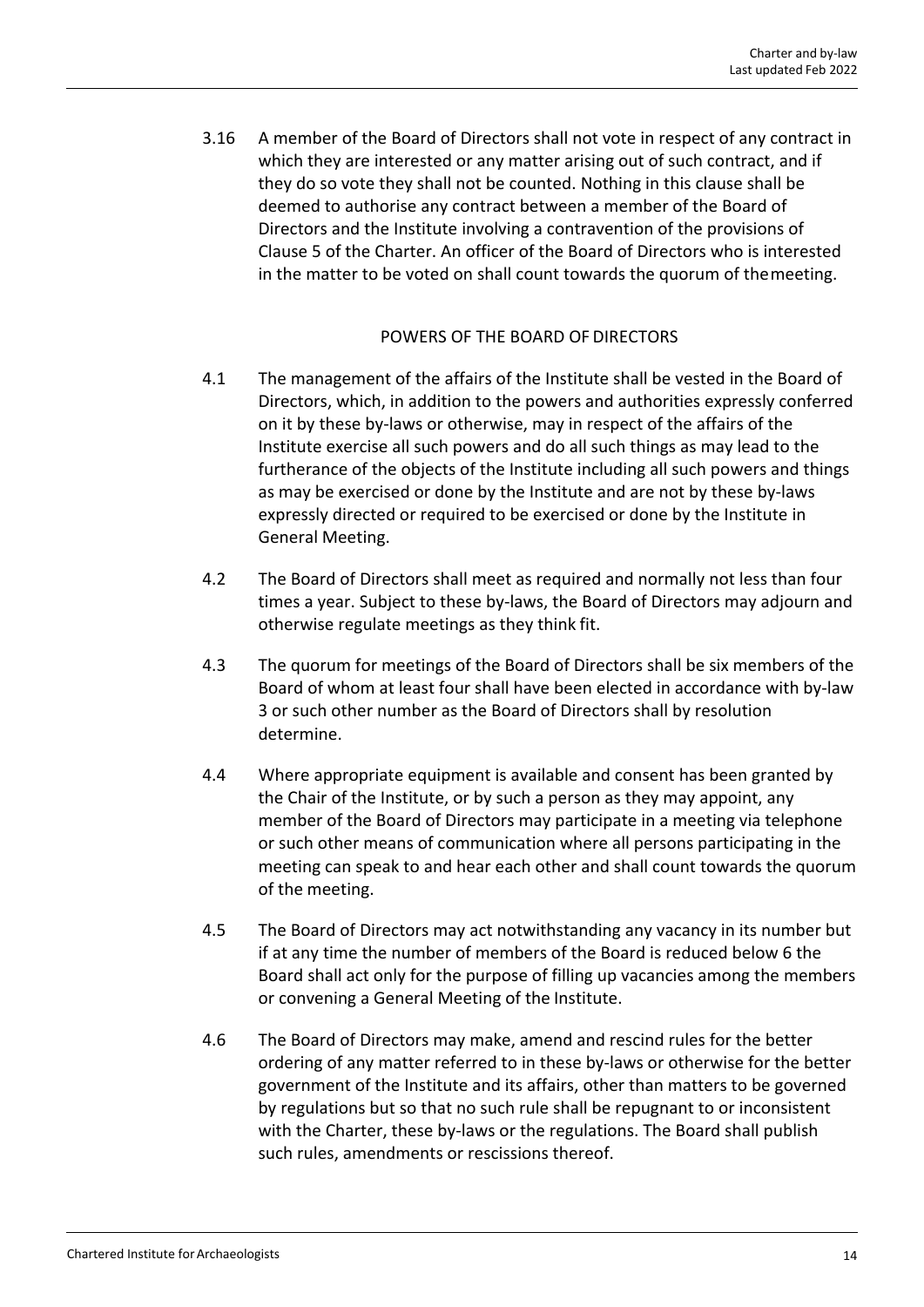3.16 A member of the Board of Directors shall not vote in respect of any contract in which they are interested or any matter arising out of such contract, and if they do so vote they shall not be counted. Nothing in this clause shall be deemed to authorise any contract between a member of the Board of Directors and the Institute involving a contravention of the provisions of Clause 5 of the Charter. An officer of the Board of Directors who is interested in the matter to be voted on shall count towards the quorum of themeeting.

# POWERS OF THE BOARD OF DIRECTORS

- 4.1 The management of the affairs of the Institute shall be vested in the Board of Directors, which, in addition to the powers and authorities expressly conferred on it by these by‐laws or otherwise, may in respect of the affairs of the Institute exercise all such powers and do all such things as may lead to the furtherance of the objects of the Institute including all such powers and things as may be exercised or done by the Institute and are not by these by‐laws expressly directed or required to be exercised or done by the Institute in General Meeting.
- 4.2 The Board of Directors shall meet as required and normally not less than four times a year. Subject to these by‐laws, the Board of Directors may adjourn and otherwise regulate meetings as they think fit.
- 4.3 The quorum for meetings of the Board of Directors shall be six members of the Board of whom at least four shall have been elected in accordance with by‐law 3 or such other number as the Board of Directors shall by resolution determine.
- 4.4 Where appropriate equipment is available and consent has been granted by the Chair of the Institute, or by such a person as they may appoint, any member of the Board of Directors may participate in a meeting via telephone or such other means of communication where all persons participating in the meeting can speak to and hear each other and shall count towards the quorum of the meeting.
- 4.5 The Board of Directors may act notwithstanding any vacancy in its number but if at any time the number of members of the Board is reduced below 6 the Board shall act only for the purpose of filling up vacancies among the members or convening a General Meeting of the Institute.
- 4.6 The Board of Directors may make, amend and rescind rules for the better ordering of any matter referred to in these by‐laws or otherwise for the better government of the Institute and its affairs, other than matters to be governed by regulations but so that no such rule shall be repugnant to or inconsistent with the Charter, these by-laws or the regulations. The Board shall publish such rules, amendments or rescissions thereof.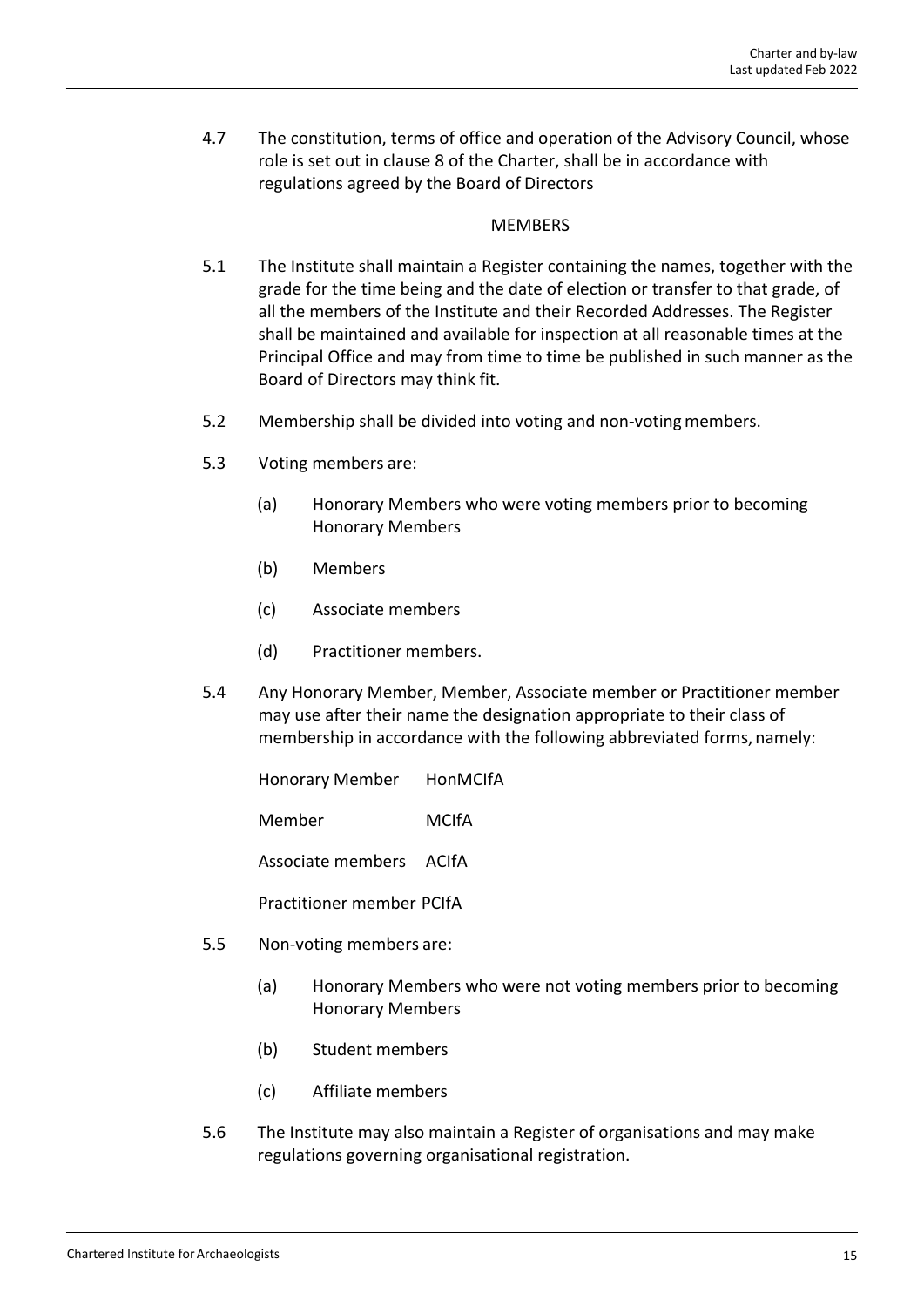4.7 The constitution, terms of office and operation of the Advisory Council, whose role is set out in clause 8 of the Charter, shall be in accordance with regulations agreed by the Board of Directors

#### MEMBERS

- 5.1 The Institute shall maintain a Register containing the names, together with the grade for the time being and the date of election or transfer to that grade, of all the members of the Institute and their Recorded Addresses. The Register shall be maintained and available for inspection at all reasonable times at the Principal Office and may from time to time be published in such manner as the Board of Directors may think fit.
- 5.2 Membership shall be divided into voting and non-voting members.
- 5.3 Voting members are:
	- (a) Honorary Members who were voting members prior to becoming Honorary Members
	- (b) Members
	- (c) Associate members
	- (d) Practitioner members.
- 5.4 Any Honorary Member, Member, Associate member or Practitioner member may use after their name the designation appropriate to their class of membership in accordance with the following abbreviated forms, namely:

Honorary Member HonMCIfA

Member MCIfA

Associate members ACIfA

Practitioner member PCIfA

- 5.5 Non‐voting members are:
	- (a) Honorary Members who were not voting members prior to becoming Honorary Members
	- (b) Student members
	- (c) Affiliate members
- 5.6 The Institute may also maintain a Register of organisations and may make regulations governing organisational registration.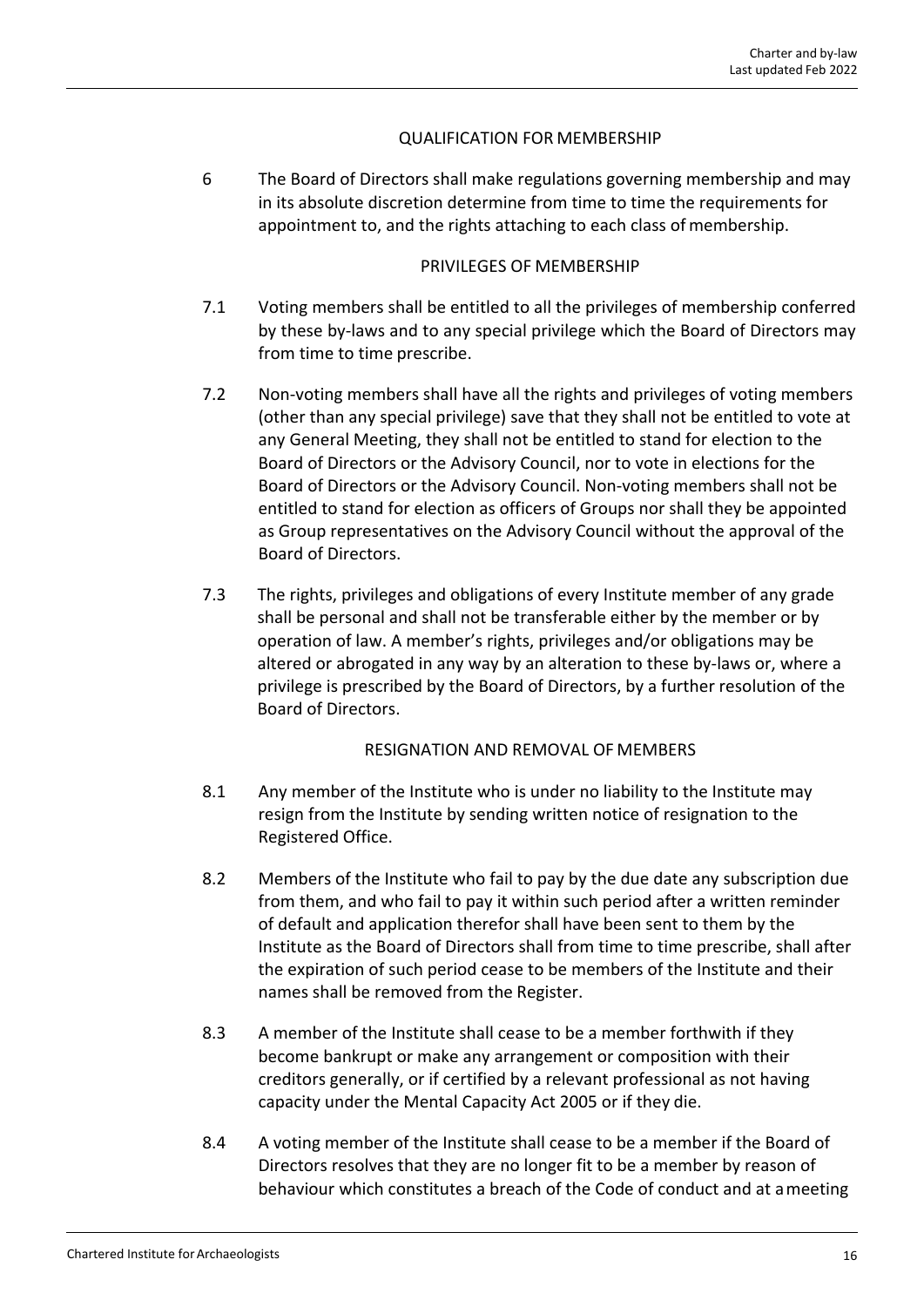# QUALIFICATION FOR MEMBERSHIP

6 The Board of Directors shall make regulations governing membership and may in its absolute discretion determine from time to time the requirements for appointment to, and the rights attaching to each class of membership.

# PRIVILEGES OF MEMBERSHIP

- 7.1 Voting members shall be entitled to all the privileges of membership conferred by these by-laws and to any special privilege which the Board of Directors may from time to time prescribe.
- 7.2 Non-voting members shall have all the rights and privileges of voting members (other than any special privilege) save that they shall not be entitled to vote at any General Meeting, they shall not be entitled to stand for election to the Board of Directors or the Advisory Council, nor to vote in elections for the Board of Directors or the Advisory Council. Non‐voting members shall not be entitled to stand for election as officers of Groups nor shall they be appointed as Group representatives on the Advisory Council without the approval of the Board of Directors.
- 7.3 The rights, privileges and obligations of every Institute member of any grade shall be personal and shall not be transferable either by the member or by operation of law. A member's rights, privileges and/or obligations may be altered or abrogated in any way by an alteration to these by‐laws or, where a privilege is prescribed by the Board of Directors, by a further resolution of the Board of Directors.

# RESIGNATION AND REMOVAL OF MEMBERS

- 8.1 Any member of the Institute who is under no liability to the Institute may resign from the Institute by sending written notice of resignation to the Registered Office.
- 8.2 Members of the Institute who fail to pay by the due date any subscription due from them, and who fail to pay it within such period after a written reminder of default and application therefor shall have been sent to them by the Institute as the Board of Directors shall from time to time prescribe, shall after the expiration of such period cease to be members of the Institute and their names shall be removed from the Register.
- 8.3 A member of the Institute shall cease to be a member forthwith if they become bankrupt or make any arrangement or composition with their creditors generally, or if certified by a relevant professional as not having capacity under the Mental Capacity Act 2005 or if they die.
- 8.4 A voting member of the Institute shall cease to be a member if the Board of Directors resolves that they are no longer fit to be a member by reason of behaviour which constitutes a breach of the Code of conduct and at ameeting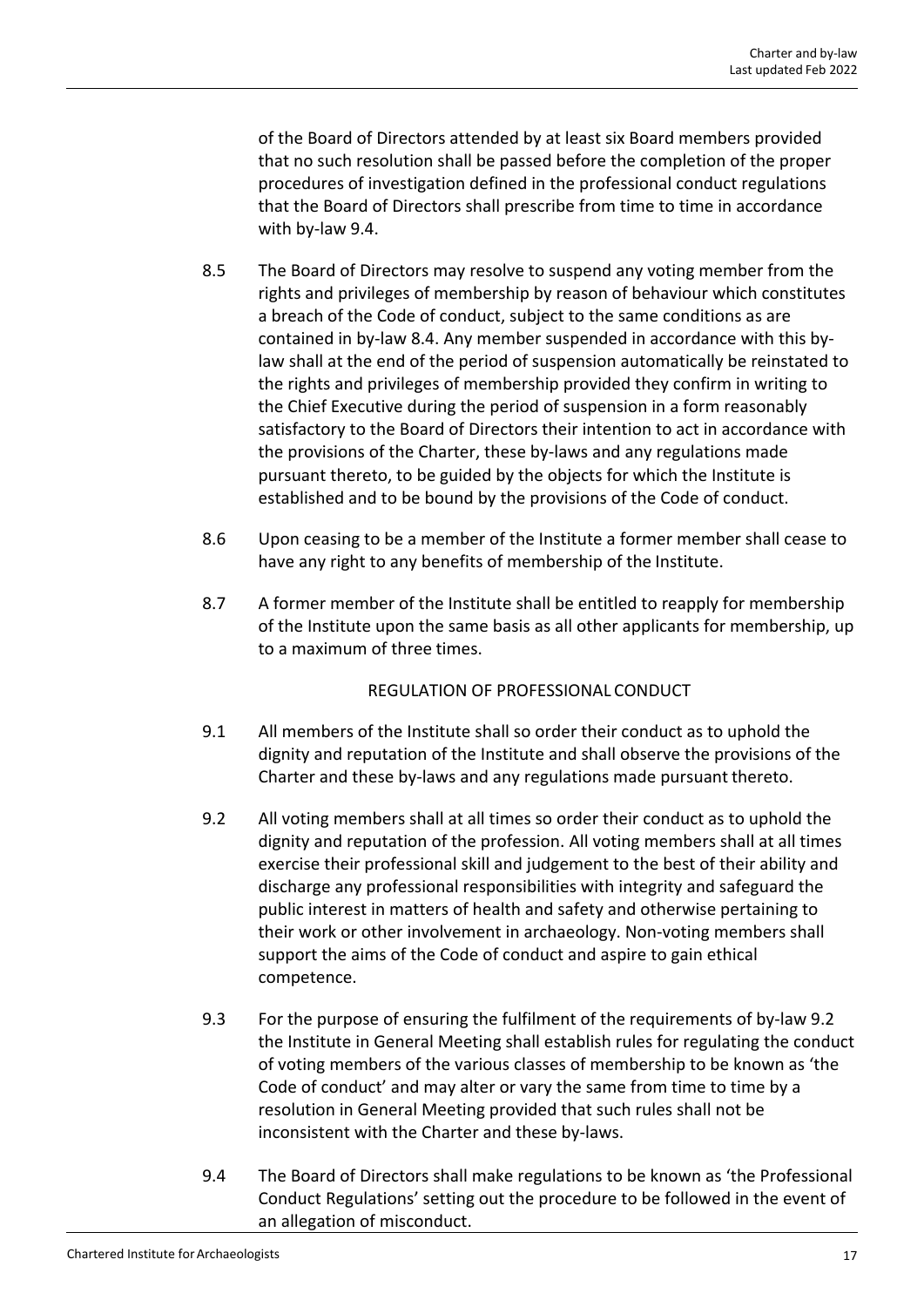of the Board of Directors attended by at least six Board members provided that no such resolution shall be passed before the completion of the proper procedures of investigation defined in the professional conduct regulations that the Board of Directors shall prescribe from time to time in accordance with by‐law 9.4.

- 8.5 The Board of Directors may resolve to suspend any voting member from the rights and privileges of membership by reason of behaviour which constitutes a breach of the Code of conduct, subject to the same conditions as are contained in by‐law 8.4. Any member suspended in accordance with this by‐ law shall at the end of the period of suspension automatically be reinstated to the rights and privileges of membership provided they confirm in writing to the Chief Executive during the period of suspension in a form reasonably satisfactory to the Board of Directors their intention to act in accordance with the provisions of the Charter, these by‐laws and any regulations made pursuant thereto, to be guided by the objects for which the Institute is established and to be bound by the provisions of the Code of conduct.
- 8.6 Upon ceasing to be a member of the Institute a former member shall cease to have any right to any benefits of membership of the Institute.
- 8.7 A former member of the Institute shall be entitled to reapply for membership of the Institute upon the same basis as all other applicants for membership, up to a maximum of three times.

# REGULATION OF PROFESSIONAL CONDUCT

- 9.1 All members of the Institute shall so order their conduct as to uphold the dignity and reputation of the Institute and shall observe the provisions of the Charter and these by‐laws and any regulations made pursuant thereto.
- 9.2 All voting members shall at all times so order their conduct as to uphold the dignity and reputation of the profession. All voting members shall at all times exercise their professional skill and judgement to the best of their ability and discharge any professional responsibilities with integrity and safeguard the public interest in matters of health and safety and otherwise pertaining to their work or other involvement in archaeology. Non‐voting members shall support the aims of the Code of conduct and aspire to gain ethical competence.
- 9.3 For the purpose of ensuring the fulfilment of the requirements of by-law 9.2 the Institute in General Meeting shall establish rules for regulating the conduct of voting members of the various classes of membership to be known as 'the Code of conduct' and may alter or vary the same from time to time by a resolution in General Meeting provided that such rules shall not be inconsistent with the Charter and these by‐laws.
- 9.4 The Board of Directors shall make regulations to be known as 'the Professional Conduct Regulations' setting out the procedure to be followed in the event of an allegation of misconduct.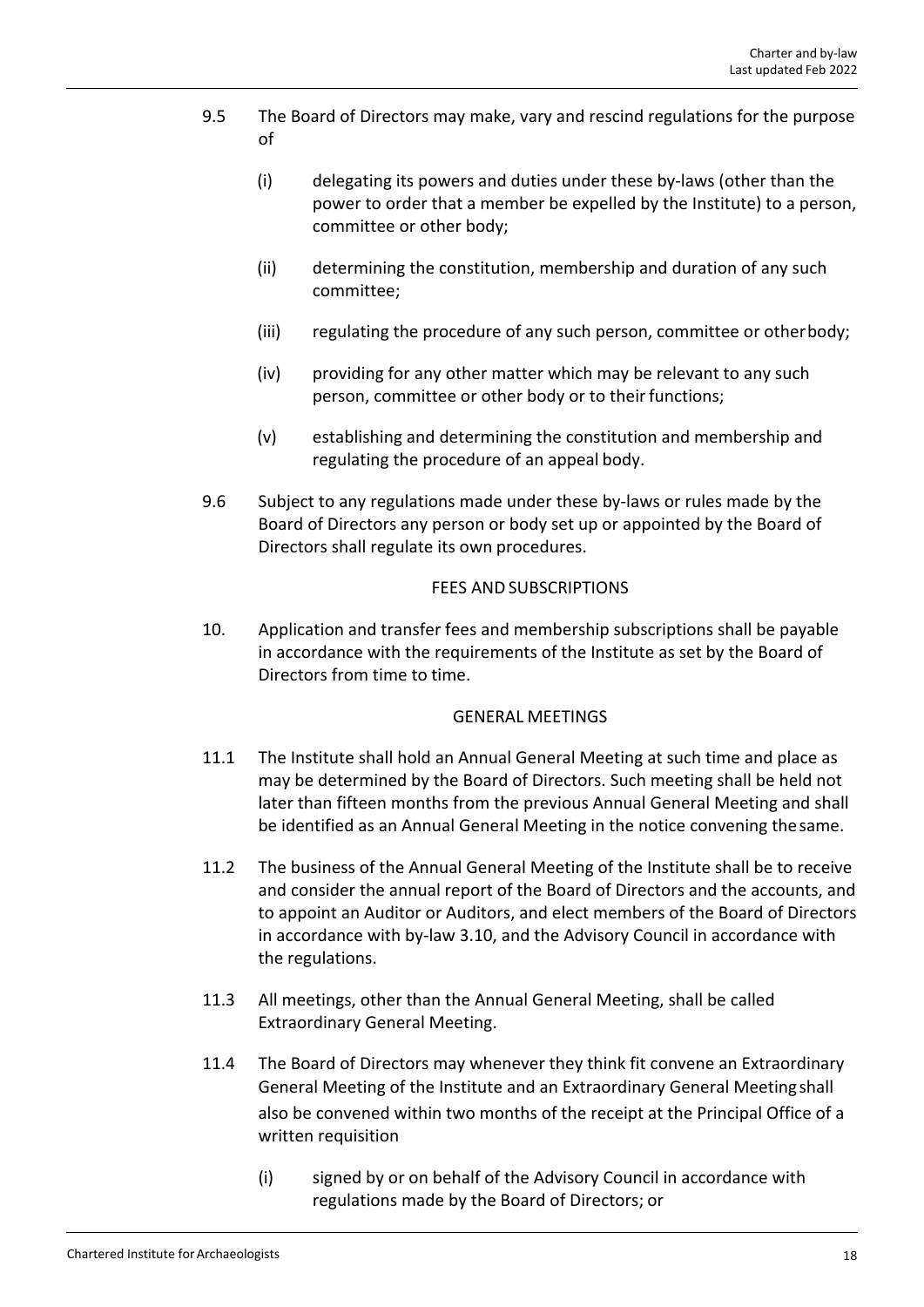- 9.5 The Board of Directors may make, vary and rescind regulations for the purpose of
	- (i) delegating its powers and duties under these by‐laws (other than the power to order that a member be expelled by the Institute) to a person, committee or other body;
	- (ii) determining the constitution, membership and duration of any such committee;
	- (iii) regulating the procedure of any such person, committee or otherbody;
	- (iv) providing for any other matter which may be relevant to any such person, committee or other body or to their functions;
	- (v) establishing and determining the constitution and membership and regulating the procedure of an appeal body.
- 9.6 Subject to any regulations made under these by-laws or rules made by the Board of Directors any person or body set up or appointed by the Board of Directors shall regulate its own procedures.

# FEES AND SUBSCRIPTIONS

10. Application and transfer fees and membership subscriptions shall be payable in accordance with the requirements of the Institute as set by the Board of Directors from time to time.

# GENERAL MEETINGS

- 11.1 The Institute shall hold an Annual General Meeting at such time and place as may be determined by the Board of Directors. Such meeting shall be held not later than fifteen months from the previous Annual General Meeting and shall be identified as an Annual General Meeting in the notice convening thesame.
- 11.2 The business of the Annual General Meeting of the Institute shall be to receive and consider the annual report of the Board of Directors and the accounts, and to appoint an Auditor or Auditors, and elect members of the Board of Directors in accordance with by‐law 3.10, and the Advisory Council in accordance with the regulations.
- 11.3 All meetings, other than the Annual General Meeting, shall be called Extraordinary General Meeting.
- 11.4 The Board of Directors may whenever they think fit convene an Extraordinary General Meeting of the Institute and an Extraordinary General Meetingshall also be convened within two months of the receipt at the Principal Office of a written requisition
	- (i) signed by or on behalf of the Advisory Council in accordance with regulations made by the Board of Directors; or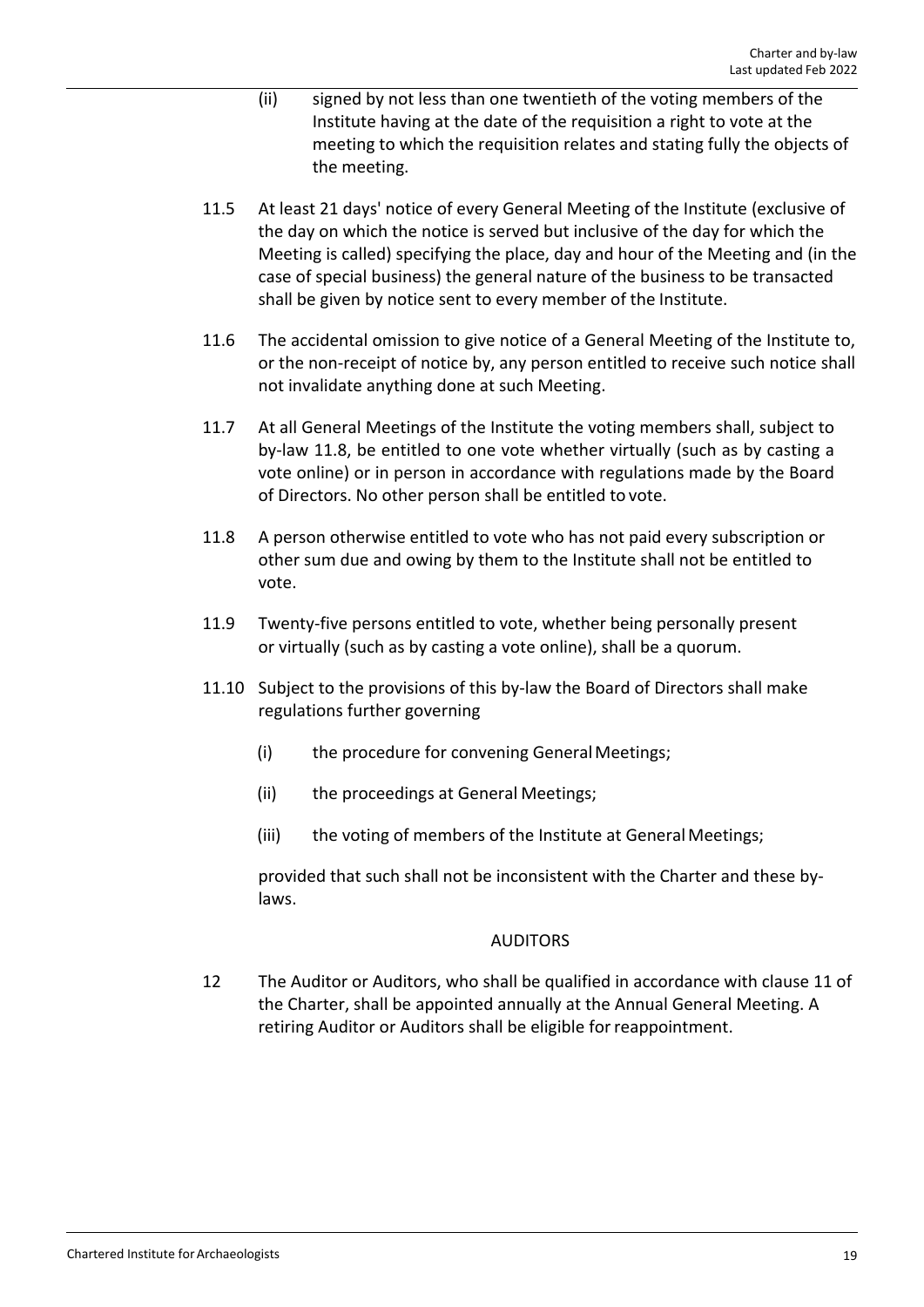- (ii) signed by not less than one twentieth of the voting members of the Institute having at the date of the requisition a right to vote at the meeting to which the requisition relates and stating fully the objects of the meeting.
- 11.5 At least 21 days' notice of every General Meeting of the Institute (exclusive of the day on which the notice is served but inclusive of the day for which the Meeting is called) specifying the place, day and hour of the Meeting and (in the case of special business) the general nature of the business to be transacted shall be given by notice sent to every member of the Institute.
- 11.6 The accidental omission to give notice of a General Meeting of the Institute to, or the non‐receipt of notice by, any person entitled to receive such notice shall not invalidate anything done at such Meeting.
- 11.7 At all General Meetings of the Institute the voting members shall, subject to by‐law 11.8, be entitled to one vote whether virtually (such as by casting a vote online) or in person in accordance with regulations made by the Board of Directors. No other person shall be entitled to vote.
- 11.8 A person otherwise entitled to vote who has not paid every subscription or other sum due and owing by them to the Institute shall not be entitled to vote.
- 11.9 Twenty-five persons entitled to vote, whether being personally present or virtually (such as by casting a vote online), shall be a quorum.
- 11.10 Subject to the provisions of this by‐law the Board of Directors shall make regulations further governing
	- (i) the procedure for convening General Meetings;
	- (ii) the proceedings at General Meetings;
	- (iii) the voting of members of the Institute at GeneralMeetings;

provided that such shall not be inconsistent with the Charter and these by‐ laws.

# AUDITORS

12 The Auditor or Auditors, who shall be qualified in accordance with clause 11 of the Charter, shall be appointed annually at the Annual General Meeting. A retiring Auditor or Auditors shall be eligible forreappointment.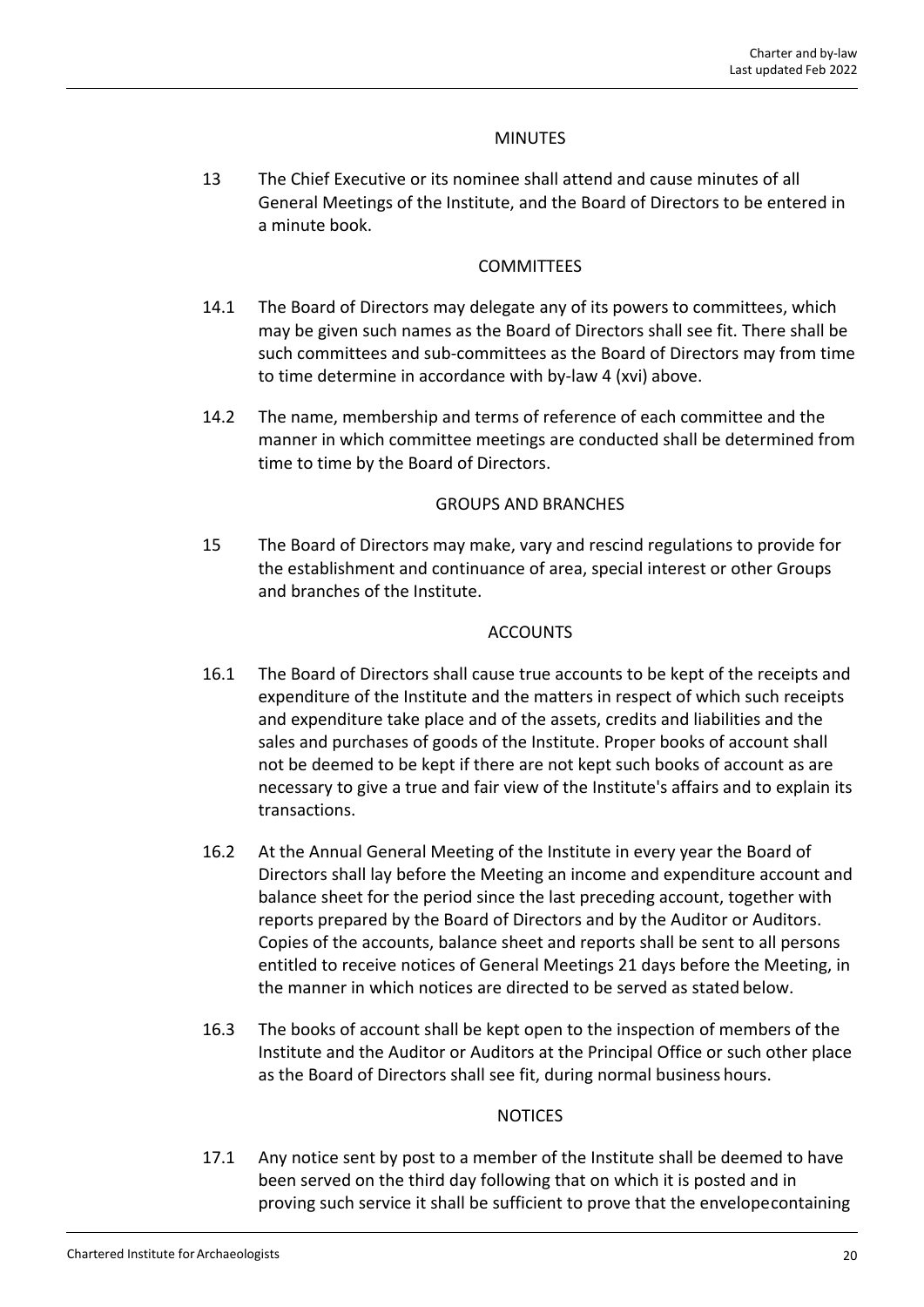# MINUTES

13 The Chief Executive or its nominee shall attend and cause minutes of all General Meetings of the Institute, and the Board of Directors to be entered in a minute book.

#### **COMMITTEES**

- 14.1 The Board of Directors may delegate any of its powers to committees, which may be given such names as the Board of Directors shall see fit. There shall be such committees and sub‐committees as the Board of Directors may from time to time determine in accordance with by‐law 4 (xvi) above.
- 14.2 The name, membership and terms of reference of each committee and the manner in which committee meetings are conducted shall be determined from time to time by the Board of Directors.

#### GROUPS AND BRANCHES

15 The Board of Directors may make, vary and rescind regulations to provide for the establishment and continuance of area, special interest or other Groups and branches of the Institute.

#### ACCOUNTS

- 16.1 The Board of Directors shall cause true accounts to be kept of the receipts and expenditure of the Institute and the matters in respect of which such receipts and expenditure take place and of the assets, credits and liabilities and the sales and purchases of goods of the Institute. Proper books of account shall not be deemed to be kept if there are not kept such books of account as are necessary to give a true and fair view of the Institute's affairs and to explain its transactions.
- 16.2 At the Annual General Meeting of the Institute in every year the Board of Directors shall lay before the Meeting an income and expenditure account and balance sheet for the period since the last preceding account, together with reports prepared by the Board of Directors and by the Auditor or Auditors. Copies of the accounts, balance sheet and reports shall be sent to all persons entitled to receive notices of General Meetings 21 days before the Meeting, in the manner in which notices are directed to be served as stated below.
- 16.3 The books of account shall be kept open to the inspection of members of the Institute and the Auditor or Auditors at the Principal Office or such other place as the Board of Directors shall see fit, during normal business hours.

# NOTICES

17.1 Any notice sent by post to a member of the Institute shall be deemed to have been served on the third day following that on which it is posted and in proving such service it shall be sufficient to prove that the envelopecontaining